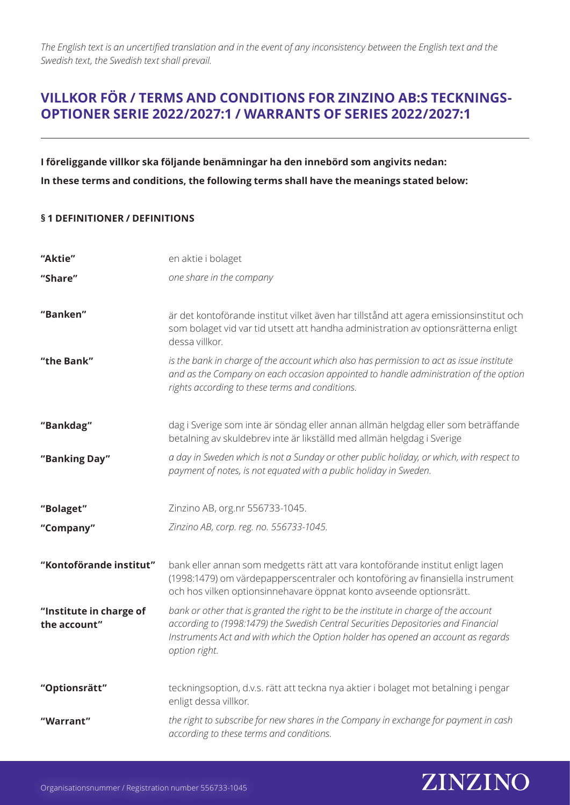# **VILLKOR FÖR / TERMS AND CONDITIONS FOR ZINZINO AB:S TECKNINGS-OPTIONER SERIE 2022/2027:1 / WARRANTS OF SERIES 2022/2027:1**

**I föreliggande villkor ska följande benämningar ha den innebörd som angivits nedan: In these terms and conditions, the following terms shall have the meanings stated below:**

### **§ 1 DEFINITIONER / DEFINITIONS**

| "Aktie"                                 | en aktie i bolaget                                                                                                                                                                                                                                                               |
|-----------------------------------------|----------------------------------------------------------------------------------------------------------------------------------------------------------------------------------------------------------------------------------------------------------------------------------|
| "Share"                                 | one share in the company                                                                                                                                                                                                                                                         |
| "Banken"                                | är det kontoförande institut vilket även har tillstånd att agera emissionsinstitut och<br>som bolaget vid var tid utsett att handha administration av optionsrätterna enligt<br>dessa villkor.                                                                                   |
| "the Bank"                              | is the bank in charge of the account which also has permission to act as issue institute<br>and as the Company on each occasion appointed to handle administration of the option<br>rights according to these terms and conditions.                                              |
| "Bankdag"                               | dag i Sverige som inte är söndag eller annan allmän helgdag eller som beträffande<br>betalning av skuldebrev inte är likställd med allmän helgdag i Sverige                                                                                                                      |
| "Banking Day"                           | a day in Sweden which is not a Sunday or other public holiday, or which, with respect to<br>payment of notes, is not equated with a public holiday in Sweden.                                                                                                                    |
| "Bolaget"                               | Zinzino AB, org.nr 556733-1045.                                                                                                                                                                                                                                                  |
| "Company"                               | Zinzino AB, corp. reg. no. 556733-1045.                                                                                                                                                                                                                                          |
| "Kontoförande institut"                 | bank eller annan som medgetts rätt att vara kontoförande institut enligt lagen<br>(1998:1479) om värdepapperscentraler och kontoföring av finansiella instrument<br>och hos vilken optionsinnehavare öppnat konto avseende optionsrätt.                                          |
| "Institute in charge of<br>the account" | bank or other that is granted the right to be the institute in charge of the account<br>according to (1998:1479) the Swedish Central Securities Depositories and Financial<br>Instruments Act and with which the Option holder has opened an account as regards<br>option right. |
| "Optionsrätt"                           | teckningsoption, d.v.s. rätt att teckna nya aktier i bolaget mot betalning i pengar<br>enligt dessa villkor.                                                                                                                                                                     |
| "Warrant"                               | the right to subscribe for new shares in the Company in exchange for payment in cash<br>according to these terms and conditions.                                                                                                                                                 |

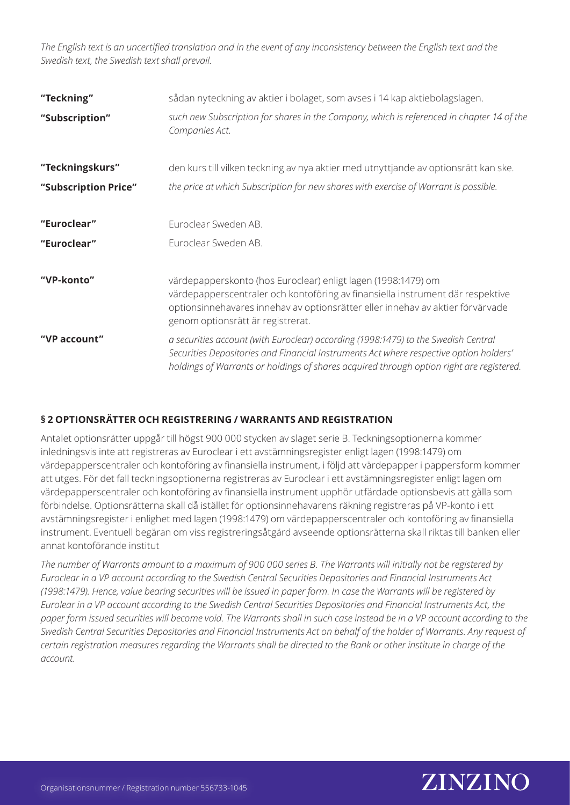| "Teckning"<br>"Subscription" | sådan nyteckning av aktier i bolaget, som avses i 14 kap aktiebolagslagen.<br>such new Subscription for shares in the Company, which is referenced in chapter 14 of the<br>Companies Act.                                                                                |
|------------------------------|--------------------------------------------------------------------------------------------------------------------------------------------------------------------------------------------------------------------------------------------------------------------------|
| "Teckningskurs"              | den kurs till vilken teckning av nya aktier med utnyttjande av optionsrätt kan ske.                                                                                                                                                                                      |
| "Subscription Price"         | the price at which Subscription for new shares with exercise of Warrant is possible.                                                                                                                                                                                     |
| "Euroclear"<br>"Euroclear"   | Euroclear Sweden AB.<br>Euroclear Sweden AB.                                                                                                                                                                                                                             |
| "VP-konto"                   | värdepapperskonto (hos Euroclear) enligt lagen (1998:1479) om<br>värdepapperscentraler och kontoföring av finansiella instrument där respektive<br>optionsinnehavares innehav av optionsrätter eller innehav av aktier förvärvade<br>genom optionsrätt är registrerat.   |
| "VP account"                 | a securities account (with Euroclear) according (1998:1479) to the Swedish Central<br>Securities Depositories and Financial Instruments Act where respective option holders'<br>holdings of Warrants or holdings of shares acquired through option right are registered. |

### **§ 2 OPTIONSRÄTTER OCH REGISTRERING / WARRANTS AND REGISTRATION**

Antalet optionsrätter uppgår till högst 900 000 stycken av slaget serie B. Teckningsoptionerna kommer inledningsvis inte att registreras av Euroclear i ett avstämningsregister enligt lagen (1998:1479) om värdepapperscentraler och kontoföring av finansiella instrument, i följd att värdepapper i pappersform kommer att utges. För det fall teckningsoptionerna registreras av Euroclear i ett avstämningsregister enligt lagen om värdepapperscentraler och kontoföring av finansiella instrument upphör utfärdade optionsbevis att gälla som förbindelse. Optionsrätterna skall då istället för optionsinnehavarens räkning registreras på VP-konto i ett avstämningsregister i enlighet med lagen (1998:1479) om värdepapperscentraler och kontoföring av finansiella instrument. Eventuell begäran om viss registreringsåtgärd avseende optionsrätterna skall riktas till banken eller annat kontoförande institut

*The number of Warrants amount to a maximum of 900 000 series B. The Warrants will initially not be registered by Euroclear in a VP account according to the Swedish Central Securities Depositories and Financial Instruments Act (1998:1479). Hence, value bearing securities will be issued in paper form. In case the Warrants will be registered by Eurolear in a VP account according to the Swedish Central Securities Depositories and Financial Instruments Act, the paper form issued securities will become void. The Warrants shall in such case instead be in a VP account according to the Swedish Central Securities Depositories and Financial Instruments Act on behalf of the holder of Warrants. Any request of certain registration measures regarding the Warrants shall be directed to the Bank or other institute in charge of the account.* 

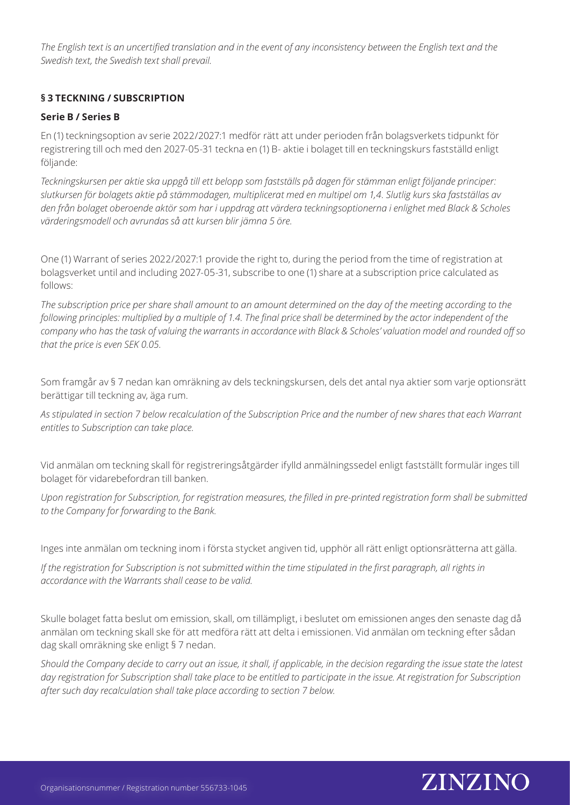### **§ 3 TECKNING / SUBSCRIPTION**

### **Serie B / Series B**

En (1) teckningsoption av serie 2022/2027:1 medför rätt att under perioden från bolagsverkets tidpunkt för registrering till och med den 2027-05-31 teckna en (1) B- aktie i bolaget till en teckningskurs fastställd enligt följande:

*Teckningskursen per aktie ska uppgå till ett belopp som fastställs på dagen för stämman enligt följande principer: slutkursen för bolagets aktie på stämmodagen, multiplicerat med en multipel om 1,4. Slutlig kurs ska fastställas av den från bolaget oberoende aktör som har i uppdrag att värdera teckningsoptionerna i enlighet med Black & Scholes värderingsmodell och avrundas så att kursen blir jämna 5 öre.*

One (1) Warrant of series 2022/2027:1 provide the right to, during the period from the time of registration at bolagsverket until and including 2027-05-31, subscribe to one (1) share at a subscription price calculated as follows:

*The subscription price per share shall amount to an amount determined on the day of the meeting according to the following principles: multiplied by a multiple of 1.4. The final price shall be determined by the actor independent of the company who has the task of valuing the warrants in accordance with Black & Scholes' valuation model and rounded off so that the price is even SEK 0.05.*

Som framgår av § 7 nedan kan omräkning av dels teckningskursen, dels det antal nya aktier som varje optionsrätt berättigar till teckning av, äga rum.

*As stipulated in section 7 below recalculation of the Subscription Price and the number of new shares that each Warrant entitles to Subscription can take place.*

Vid anmälan om teckning skall för registreringsåtgärder ifylld anmälningssedel enligt fastställt formulär inges till bolaget för vidarebefordran till banken.

*Upon registration for Subscription, for registration measures, the filled in pre-printed registration form shall be submitted to the Company for forwarding to the Bank.* 

Inges inte anmälan om teckning inom i första stycket angiven tid, upphör all rätt enligt optionsrätterna att gälla.

*If the registration for Subscription is not submitted within the time stipulated in the first paragraph, all rights in accordance with the Warrants shall cease to be valid.*

Skulle bolaget fatta beslut om emission, skall, om tillämpligt, i beslutet om emissionen anges den senaste dag då anmälan om teckning skall ske för att medföra rätt att delta i emissionen. Vid anmälan om teckning efter sådan dag skall omräkning ske enligt § 7 nedan.

*Should the Company decide to carry out an issue, it shall, if applicable, in the decision regarding the issue state the latest*  day registration for Subscription shall take place to be entitled to participate in the issue. At registration for Subscription *after such day recalculation shall take place according to section 7 below.*

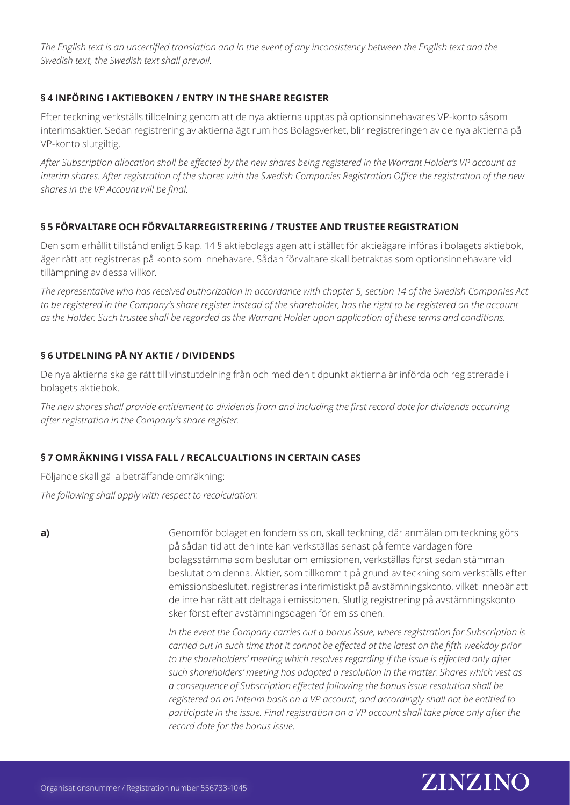### **§ 4 INFÖRING I AKTIEBOKEN / ENTRY IN THE SHARE REGISTER**

Efter teckning verkställs tilldelning genom att de nya aktierna upptas på optionsinnehavares VP-konto såsom interimsaktier. Sedan registrering av aktierna ägt rum hos Bolagsverket, blir registreringen av de nya aktierna på VP-konto slutgiltig.

*After Subscription allocation shall be effected by the new shares being registered in the Warrant Holder's VP account as interim shares. After registration of the shares with the Swedish Companies Registration Office the registration of the new shares in the VP Account will be final.*

# **§ 5 FÖRVALTARE OCH FÖRVALTARREGISTRERING / TRUSTEE AND TRUSTEE REGISTRATION**

Den som erhållit tillstånd enligt 5 kap. 14 § aktiebolagslagen att i stället för aktieägare införas i bolagets aktiebok, äger rätt att registreras på konto som innehavare. Sådan förvaltare skall betraktas som optionsinnehavare vid tillämpning av dessa villkor.

*The representative who has received authorization in accordance with chapter 5, section 14 of the Swedish Companies Act to be registered in the Company's share register instead of the shareholder, has the right to be registered on the account as the Holder. Such trustee shall be regarded as the Warrant Holder upon application of these terms and conditions.* 

### **§ 6 UTDELNING PÅ NY AKTIE / DIVIDENDS**

De nya aktierna ska ge rätt till vinstutdelning från och med den tidpunkt aktierna är införda och registrerade i bolagets aktiebok.

*The new shares shall provide entitlement to dividends from and including the first record date for dividends occurring after registration in the Company's share register.* 

# **§ 7 OMRÄKNING I VISSA FALL / RECALCUALTIONS IN CERTAIN CASES**

Följande skall gälla beträffande omräkning:

*The following shall apply with respect to recalculation:*

**a)**

Genomför bolaget en fondemission, skall teckning, där anmälan om teckning görs på sådan tid att den inte kan verkställas senast på femte vardagen före bolagsstämma som beslutar om emissionen, verkställas först sedan stämman beslutat om denna. Aktier, som tillkommit på grund av teckning som verkställs efter emissionsbeslutet, registreras interimistiskt på avstämningskonto, vilket innebär att de inte har rätt att deltaga i emissionen. Slutlig registrering på avstämningskonto sker först efter avstämningsdagen för emissionen.

*In the event the Company carries out a bonus issue, where registration for Subscription is carried out in such time that it cannot be effected at the latest on the fifth weekday prior to the shareholders' meeting which resolves regarding if the issue is effected only after such shareholders' meeting has adopted a resolution in the matter. Shares which vest as a consequence of Subscription effected following the bonus issue resolution shall be registered on an interim basis on a VP account, and accordingly shall not be entitled to participate in the issue. Final registration on a VP account shall take place only after the record date for the bonus issue.*

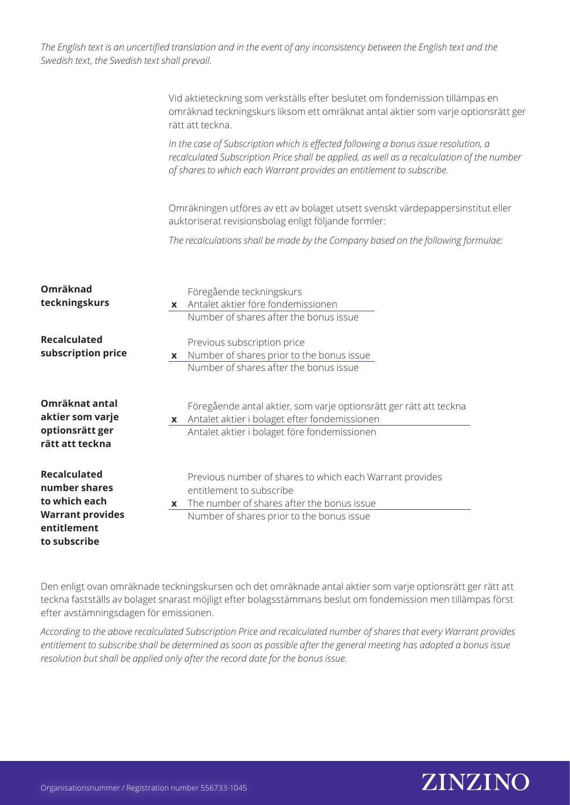|                                                                                                 | Vid aktieteckning som verkställs efter beslutet om fondemission tillämpas en<br>omräknad teckningskurs liksom ett omräknat antal aktier som varje optionsrätt ger<br>rätt att teckna.                                                                      |
|-------------------------------------------------------------------------------------------------|------------------------------------------------------------------------------------------------------------------------------------------------------------------------------------------------------------------------------------------------------------|
|                                                                                                 | In the case of Subscription which is effected following a bonus issue resolution, a<br>recalculated Subscription Price shall be applied, as well as a recalculation of the number<br>of shares to which each Warrant provides an entitlement to subscribe. |
|                                                                                                 | Omräkningen utföres av ett av bolaget utsett svenskt värdepappersinstitut eller<br>auktoriserat revisionsbolag enligt följande formler:                                                                                                                    |
|                                                                                                 | The recalculations shall be made by the Company based on the following formulae:                                                                                                                                                                           |
| Omräknad<br>teckningskurs                                                                       | Föregående teckningskurs<br>x Antalet aktier före fondemissionen<br>Number of shares after the bonus issue                                                                                                                                                 |
| <b>Recalculated</b><br>subscription price                                                       | Previous subscription price<br>x Number of shares prior to the bonus issue<br>Number of shares after the bonus issue                                                                                                                                       |
| Omräknat antal<br>aktier som varje<br>optionsrätt ger<br>rätt att teckna                        | Föregående antal aktier, som varje optionsrätt ger rätt att teckna<br>x Antalet aktier i bolaget efter fondemissionen<br>Antalet aktier i bolaget före fondemissionen                                                                                      |
| <b>Recalculated</b><br>number shares<br>to which each<br><b>Warrant provides</b><br>entitlement | Previous number of shares to which each Warrant provides<br>entitlement to subscribe<br>The number of shares after the bonus issue<br>X<br>Number of shares prior to the bonus issue                                                                       |
| to subscribe                                                                                    |                                                                                                                                                                                                                                                            |

Den enligt ovan omräknade teckningskursen och det omräknade antal aktier som varje optionsrätt ger rätt att teckna fastställs av bolaget snarast möjligt efter bolagsstämmans beslut om fondemission men tillämpas först efter avstämningsdagen för emissionen.

*According to the above recalculated Subscription Price and recalculated number of shares that every Warrant provides entitlement to subscribe shall be determined as soon as possible after the general meeting has adopted a bonus issue resolution but shall be applied only after the record date for the bonus issue.*

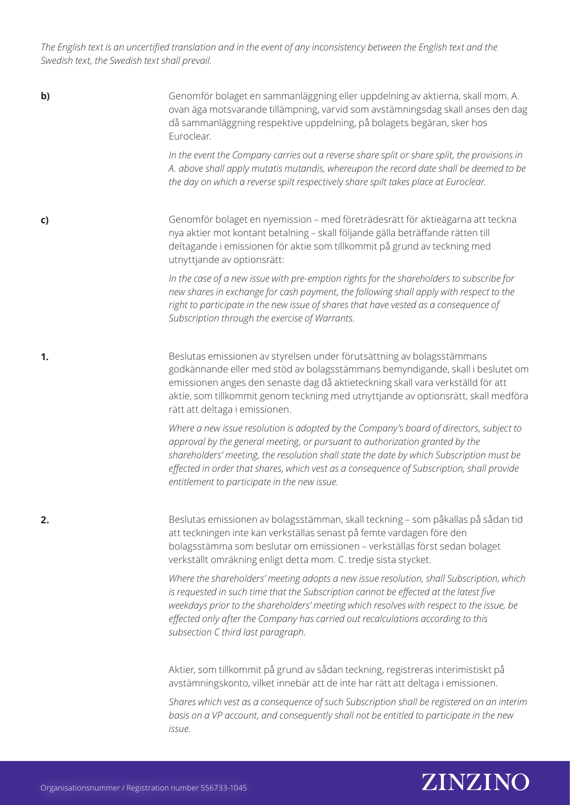Genomför bolaget en sammanläggning eller uppdelning av aktierna, skall mom. A. ovan äga motsvarande tillämpning, varvid som avstämningsdag skall anses den dag då sammanläggning respektive uppdelning, på bolagets begäran, sker hos Euroclear. *In the event the Company carries out a reverse share split or share split, the provisions in A. above shall apply mutatis mutandis, whereupon the record date shall be deemed to be the day on which a reverse spilt respectively share spilt takes place at Euroclear.*  Genomför bolaget en nyemission – med företrädesrätt för aktieägarna att teckna nya aktier mot kontant betalning – skall följande gälla beträffande rätten till deltagande i emissionen för aktie som tillkommit på grund av teckning med utnyttjande av optionsrätt: *In the case of a new issue with pre-emption rights for the shareholders to subscribe for new shares in exchange for cash payment, the following shall apply with respect to the right to participate in the new issue of shares that have vested as a consequence of Subscription through the exercise of Warrants.* Beslutas emissionen av styrelsen under förutsättning av bolagsstämmans godkännande eller med stöd av bolagsstämmans bemyndigande, skall i beslutet om emissionen anges den senaste dag då aktieteckning skall vara verkställd för att aktie, som tillkommit genom teckning med utnyttjande av optionsrätt, skall medföra rätt att deltaga i emissionen. *Where a new issue resolution is adopted by the Company's board of directors, subject to approval by the general meeting, or pursuant to authorization granted by the shareholders' meeting, the resolution shall state the date by which Subscription must be effected in order that shares, which vest as a consequence of Subscription, shall provide entitlement to participate in the new issue.* Beslutas emissionen av bolagsstämman, skall teckning – som påkallas på sådan tid att teckningen inte kan verkställas senast på femte vardagen före den bolagsstämma som beslutar om emissionen – verkställas först sedan bolaget verkställt omräkning enligt detta mom. C. tredje sista stycket. *Where the shareholders' meeting adopts a new issue resolution, shall Subscription, which is requested in such time that the Subscription cannot be effected at the latest five weekdays prior to the shareholders' meeting which resolves with respect to the issue, be effected only after the Company has carried out recalculations according to this subsection C third last paragraph.*  Aktier, som tillkommit på grund av sådan teckning, registreras interimistiskt på avstämningskonto, vilket innebär att de inte har rätt att deltaga i emissionen. *Shares which vest as a consequence of such Subscription shall be registered on an interim basis on a VP account, and consequently shall not be entitled to participate in the new issue.* **b) c) 1. 2.**

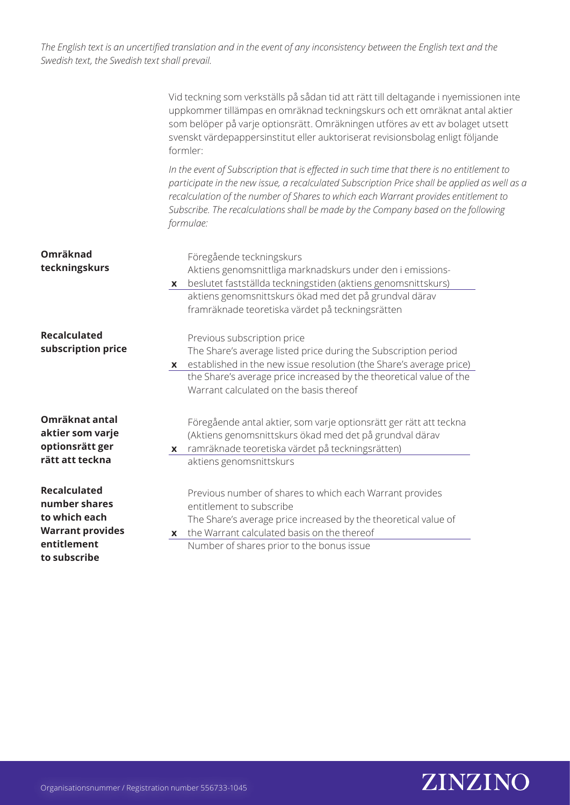|                                                                                                                 | Vid teckning som verkställs på sådan tid att rätt till deltagande i nyemissionen inte<br>uppkommer tillämpas en omräknad teckningskurs och ett omräknat antal aktier<br>som belöper på varje optionsrätt. Omräkningen utföres av ett av bolaget utsett<br>svenskt värdepappersinstitut eller auktoriserat revisionsbolag enligt följande<br>formler:                                 |
|-----------------------------------------------------------------------------------------------------------------|--------------------------------------------------------------------------------------------------------------------------------------------------------------------------------------------------------------------------------------------------------------------------------------------------------------------------------------------------------------------------------------|
|                                                                                                                 | In the event of Subscription that is effected in such time that there is no entitlement to<br>participate in the new issue, a recalculated Subscription Price shall be applied as well as a<br>recalculation of the number of Shares to which each Warrant provides entitlement to<br>Subscribe. The recalculations shall be made by the Company based on the following<br>formulae: |
| Omräknad<br>teckningskurs                                                                                       | Föregående teckningskurs<br>Aktiens genomsnittliga marknadskurs under den i emissions-<br>beslutet fastställda teckningstiden (aktiens genomsnittskurs)<br>X<br>aktiens genomsnittskurs ökad med det på grundval därav<br>framräknade teoretiska värdet på teckningsrätten                                                                                                           |
| <b>Recalculated</b><br>subscription price                                                                       | Previous subscription price<br>The Share's average listed price during the Subscription period<br>established in the new issue resolution (the Share's average price)<br>X<br>the Share's average price increased by the theoretical value of the<br>Warrant calculated on the basis thereof                                                                                         |
| Omräknat antal<br>aktier som varje<br>optionsrätt ger<br>rätt att teckna                                        | Föregående antal aktier, som varje optionsrätt ger rätt att teckna<br>(Aktiens genomsnittskurs ökad med det på grundval därav<br>x ramräknade teoretiska värdet på teckningsrätten)<br>aktiens genomsnittskurs                                                                                                                                                                       |
| <b>Recalculated</b><br>number shares<br>to which each<br><b>Warrant provides</b><br>entitlement<br>to subscribe | Previous number of shares to which each Warrant provides<br>entitlement to subscribe<br>The Share's average price increased by the theoretical value of<br>the Warrant calculated basis on the thereof<br>X<br>Number of shares prior to the bonus issue                                                                                                                             |

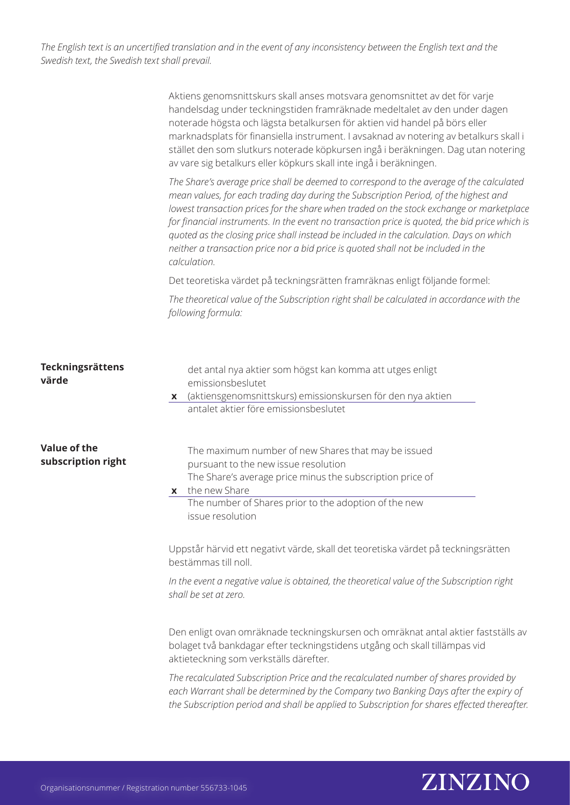|                                           | Aktiens genomsnittskurs skall anses motsvara genomsnittet av det för varje<br>handelsdag under teckningstiden framräknade medeltalet av den under dagen<br>noterade högsta och lägsta betalkursen för aktien vid handel på börs eller<br>marknadsplats för finansiella instrument. I avsaknad av notering av betalkurs skall i<br>stället den som slutkurs noterade köpkursen ingå i beräkningen. Dag utan notering<br>av vare sig betalkurs eller köpkurs skall inte ingå i beräkningen.                                                                                       |
|-------------------------------------------|---------------------------------------------------------------------------------------------------------------------------------------------------------------------------------------------------------------------------------------------------------------------------------------------------------------------------------------------------------------------------------------------------------------------------------------------------------------------------------------------------------------------------------------------------------------------------------|
|                                           | The Share's average price shall be deemed to correspond to the average of the calculated<br>mean values, for each trading day during the Subscription Period, of the highest and<br>lowest transaction prices for the share when traded on the stock exchange or marketplace<br>for financial instruments. In the event no transaction price is quoted, the bid price which is<br>quoted as the closing price shall instead be included in the calculation. Days on which<br>neither a transaction price nor a bid price is quoted shall not be included in the<br>calculation. |
|                                           | Det teoretiska värdet på teckningsrätten framräknas enligt följande formel:                                                                                                                                                                                                                                                                                                                                                                                                                                                                                                     |
|                                           | The theoretical value of the Subscription right shall be calculated in accordance with the<br>following formula:                                                                                                                                                                                                                                                                                                                                                                                                                                                                |
| Teckningsrättens<br>värde                 | det antal nya aktier som högst kan komma att utges enligt<br>emissionsbeslutet<br>x (aktiensgenomsnittskurs) emissionskursen för den nya aktien<br>antalet aktier före emissionsbeslutet                                                                                                                                                                                                                                                                                                                                                                                        |
| <b>Value of the</b><br>subscription right | The maximum number of new Shares that may be issued<br>pursuant to the new issue resolution<br>The Share's average price minus the subscription price of<br>the new Share<br>X<br>The number of Shares prior to the adoption of the new<br>issue resolution                                                                                                                                                                                                                                                                                                                     |
|                                           | Uppstår härvid ett negativt värde, skall det teoretiska värdet på teckningsrätten<br>bestämmas till noll.                                                                                                                                                                                                                                                                                                                                                                                                                                                                       |
|                                           | In the event a negative value is obtained, the theoretical value of the Subscription right<br>shall be set at zero.                                                                                                                                                                                                                                                                                                                                                                                                                                                             |
|                                           | Den enligt ovan omräknade teckningskursen och omräknat antal aktier fastställs av<br>bolaget två bankdagar efter teckningstidens utgång och skall tillämpas vid<br>aktieteckning som verkställs därefter.                                                                                                                                                                                                                                                                                                                                                                       |
|                                           | The recalculated Subscription Price and the recalculated number of shares provided by<br>each Warrant shall be determined by the Company two Banking Days after the expiry of<br>the Subscription period and shall be applied to Subscription for shares effected thereafter.                                                                                                                                                                                                                                                                                                   |

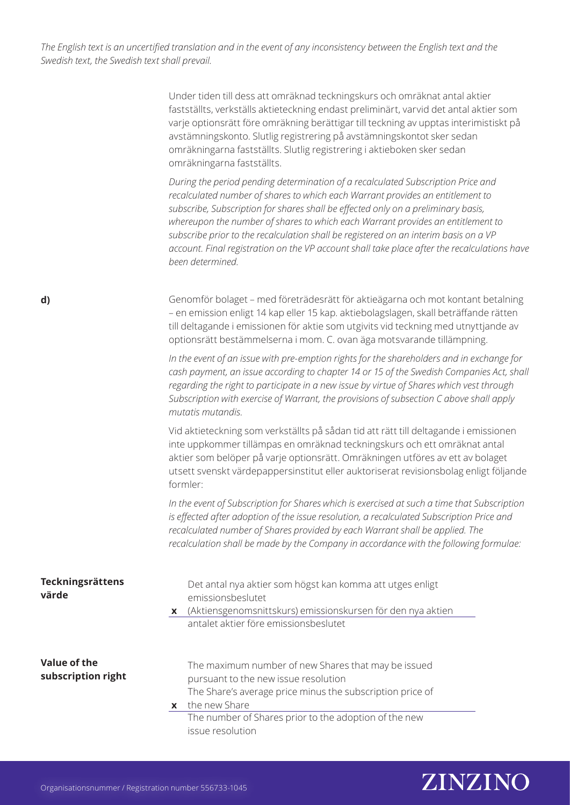> Under tiden till dess att omräknad teckningskurs och omräknat antal aktier fastställts, verkställs aktieteckning endast preliminärt, varvid det antal aktier som varje optionsrätt före omräkning berättigar till teckning av upptas interimistiskt på avstämningskonto. Slutlig registrering på avstämningskontot sker sedan omräkningarna fastställts. Slutlig registrering i aktieboken sker sedan omräkningarna fastställts.

*During the period pending determination of a recalculated Subscription Price and recalculated number of shares to which each Warrant provides an entitlement to subscribe, Subscription for shares shall be effected only on a preliminary basis, whereupon the number of shares to which each Warrant provides an entitlement to subscribe prior to the recalculation shall be registered on an interim basis on a VP account. Final registration on the VP account shall take place after the recalculations have been determined.*

Genomför bolaget – med företrädesrätt för aktieägarna och mot kontant betalning – en emission enligt 14 kap eller 15 kap. aktiebolagslagen, skall beträffande rätten till deltagande i emissionen för aktie som utgivits vid teckning med utnyttjande av optionsrätt bestämmelserna i mom. C. ovan äga motsvarande tillämpning.

*In the event of an issue with pre-emption rights for the shareholders and in exchange for cash payment, an issue according to chapter 14 or 15 of the Swedish Companies Act, shall regarding the right to participate in a new issue by virtue of Shares which vest through Subscription with exercise of Warrant, the provisions of subsection C above shall apply mutatis mutandis.*

Vid aktieteckning som verkställts på sådan tid att rätt till deltagande i emissionen inte uppkommer tillämpas en omräknad teckningskurs och ett omräknat antal aktier som belöper på varje optionsrätt. Omräkningen utföres av ett av bolaget utsett svenskt värdepappersinstitut eller auktoriserat revisionsbolag enligt följande formler:

*In the event of Subscription for Shares which is exercised at such a time that Subscription is effected after adoption of the issue resolution, a recalculated Subscription Price and recalculated number of Shares provided by each Warrant shall be applied. The recalculation shall be made by the Company in accordance with the following formulae:*

| Teckningsrättens<br>värde          | Det antal nya aktier som högst kan komma att utges enligt<br>emissionsbeslutet<br>x (Aktiensgenomsnittskurs) emissionskursen för den nya aktien<br>antalet aktier före emissionsbeslutet                                                                   |
|------------------------------------|------------------------------------------------------------------------------------------------------------------------------------------------------------------------------------------------------------------------------------------------------------|
| Value of the<br>subscription right | The maximum number of new Shares that may be issued<br>pursuant to the new issue resolution<br>The Share's average price minus the subscription price of<br>$x$ the new Share<br>The number of Shares prior to the adoption of the new<br>issue resolution |



**d)**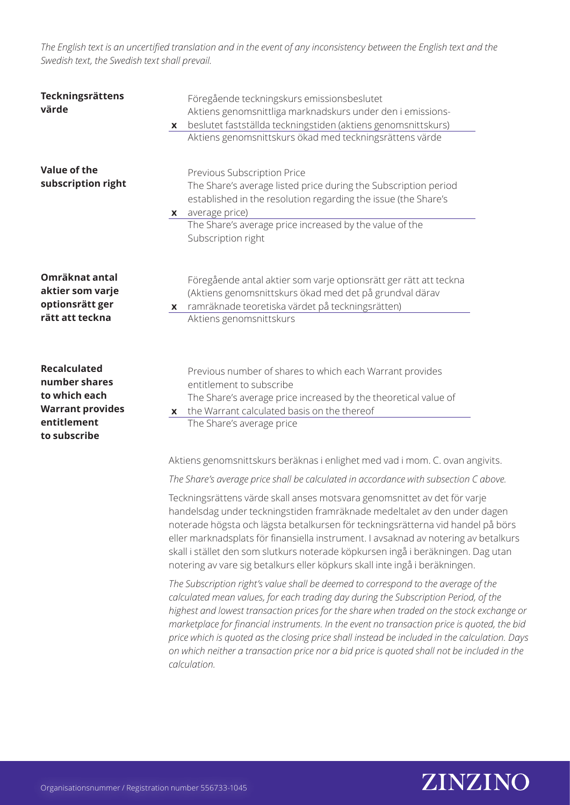| Teckningsrättens<br>värde                                                                                       | Föregående teckningskurs emissionsbeslutet<br>Aktiens genomsnittliga marknadskurs under den i emissions-<br>beslutet fastställda teckningstiden (aktiens genomsnittskurs)<br>X<br>Aktiens genomsnittskurs ökad med teckningsrättens värde                                                                                                                                                                                                                                                                                                                                            |
|-----------------------------------------------------------------------------------------------------------------|--------------------------------------------------------------------------------------------------------------------------------------------------------------------------------------------------------------------------------------------------------------------------------------------------------------------------------------------------------------------------------------------------------------------------------------------------------------------------------------------------------------------------------------------------------------------------------------|
| Value of the<br>subscription right                                                                              | Previous Subscription Price<br>The Share's average listed price during the Subscription period<br>established in the resolution regarding the issue (the Share's<br>average price)<br>X<br>The Share's average price increased by the value of the<br>Subscription right                                                                                                                                                                                                                                                                                                             |
| Omräknat antal<br>aktier som varje<br>optionsrätt ger<br>rätt att teckna                                        | Föregående antal aktier som varje optionsrätt ger rätt att teckna<br>(Aktiens genomsnittskurs ökad med det på grundval därav<br>x ramräknade teoretiska värdet på teckningsrätten)<br>Aktiens genomsnittskurs                                                                                                                                                                                                                                                                                                                                                                        |
| <b>Recalculated</b><br>number shares<br>to which each<br><b>Warrant provides</b><br>entitlement<br>to subscribe | Previous number of shares to which each Warrant provides<br>entitlement to subscribe<br>The Share's average price increased by the theoretical value of<br>x the Warrant calculated basis on the thereof<br>The Share's average price                                                                                                                                                                                                                                                                                                                                                |
|                                                                                                                 | Aktiens genomsnittskurs beräknas i enlighet med vad i mom. C. ovan angivits.                                                                                                                                                                                                                                                                                                                                                                                                                                                                                                         |
|                                                                                                                 | The Share's average price shall be calculated in accordance with subsection C above.<br>Teckningsrättens värde skall anses motsvara genomsnittet av det för varje                                                                                                                                                                                                                                                                                                                                                                                                                    |
|                                                                                                                 | handelsdag under teckningstiden framräknade medeltalet av den under dagen<br>noterade högsta och lägsta betalkursen för teckningsrätterna vid handel på börs<br>eller marknadsplats för finansiella instrument. I avsaknad av notering av betalkurs<br>skall i stället den som slutkurs noterade köpkursen ingå i beräkningen. Dag utan<br>notering av vare sig betalkurs eller köpkurs skall inte ingå i beräkningen.                                                                                                                                                               |
|                                                                                                                 | The Subscription right's value shall be deemed to correspond to the average of the<br>calculated mean values, for each trading day during the Subscription Period, of the<br>highest and lowest transaction prices for the share when traded on the stock exchange or<br>marketplace for financial instruments. In the event no transaction price is quoted, the bid<br>price which is quoted as the closing price shall instead be included in the calculation. Days<br>on which neither a transaction price nor a bid price is quoted shall not be included in the<br>calculation. |

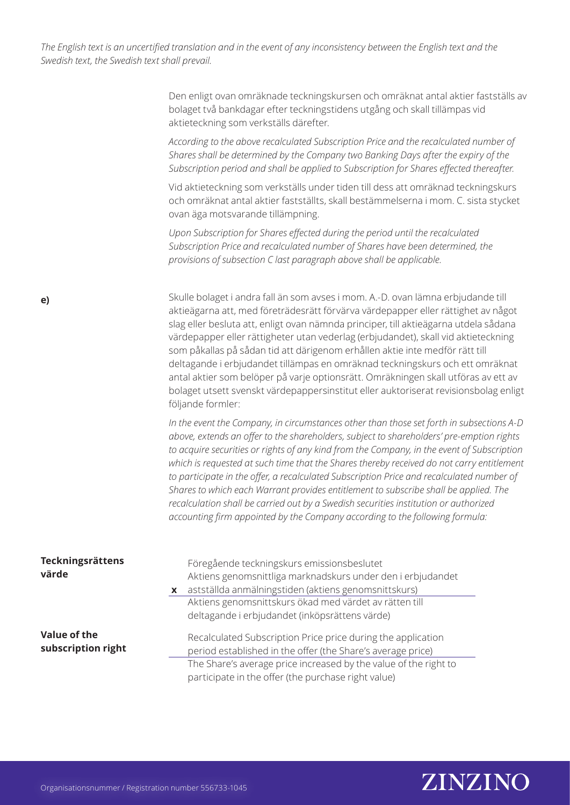> Den enligt ovan omräknade teckningskursen och omräknat antal aktier fastställs av bolaget två bankdagar efter teckningstidens utgång och skall tillämpas vid aktieteckning som verkställs därefter.

*According to the above recalculated Subscription Price and the recalculated number of Shares shall be determined by the Company two Banking Days after the expiry of the Subscription period and shall be applied to Subscription for Shares effected thereafter.*

Vid aktieteckning som verkställs under tiden till dess att omräknad teckningskurs och omräknat antal aktier fastställts, skall bestämmelserna i mom. C. sista stycket ovan äga motsvarande tillämpning.

*Upon Subscription for Shares effected during the period until the recalculated Subscription Price and recalculated number of Shares have been determined, the provisions of subsection C last paragraph above shall be applicable.*

Skulle bolaget i andra fall än som avses i mom. A.-D. ovan lämna erbjudande till aktieägarna att, med företrädesrätt förvärva värdepapper eller rättighet av något slag eller besluta att, enligt ovan nämnda principer, till aktieägarna utdela sådana värdepapper eller rättigheter utan vederlag (erbjudandet), skall vid aktieteckning som påkallas på sådan tid att därigenom erhållen aktie inte medför rätt till deltagande i erbjudandet tillämpas en omräknad teckningskurs och ett omräknat antal aktier som belöper på varje optionsrätt. Omräkningen skall utföras av ett av bolaget utsett svenskt värdepappersinstitut eller auktoriserat revisionsbolag enligt följande formler:

*In the event the Company, in circumstances other than those set forth in subsections A-D above, extends an offer to the shareholders, subject to shareholders' pre-emption rights to acquire securities or rights of any kind from the Company, in the event of Subscription which is requested at such time that the Shares thereby received do not carry entitlement to participate in the offer, a recalculated Subscription Price and recalculated number of Shares to which each Warrant provides entitlement to subscribe shall be applied. The recalculation shall be carried out by a Swedish securities institution or authorized accounting firm appointed by the Company according to the following formula:*

| Teckningsrättens                   |              | Föregående teckningskurs emissionsbeslutet                                                                                  |
|------------------------------------|--------------|-----------------------------------------------------------------------------------------------------------------------------|
| värde                              |              | Aktiens genomsnittliga marknadskurs under den i erbjudandet                                                                 |
|                                    | $\mathbf{x}$ | astställda anmälningstiden (aktiens genomsnittskurs)                                                                        |
|                                    |              | Aktiens genomsnittskurs ökad med värdet av rätten till                                                                      |
|                                    |              | deltagande i erbjudandet (inköpsrättens värde)                                                                              |
| Value of the<br>subscription right |              | Recalculated Subscription Price price during the application<br>period established in the offer (the Share's average price) |
|                                    |              | The Share's average price increased by the value of the right to                                                            |
|                                    |              | participate in the offer (the purchase right value)                                                                         |

# ZINZINO

**e)**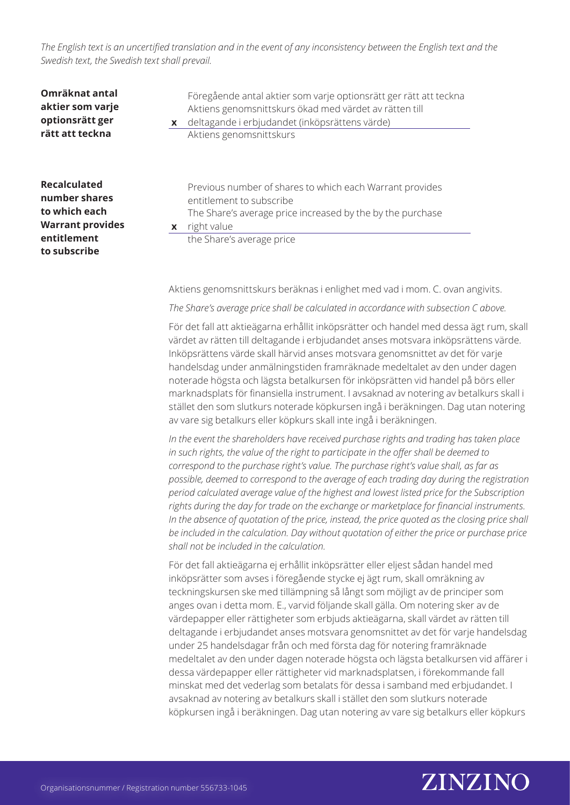| Omräknat antal<br>aktier som varje<br>optionsrätt ger<br>rätt att teckna                                 | $\mathbf{x}$ | Föregående antal aktier som varje optionsrätt ger rätt att teckna<br>Aktiens genomsnittskurs ökad med värdet av rätten till<br>deltagande i erbjudandet (inköpsrättens värde)<br>Aktiens genomsnittskurs |
|----------------------------------------------------------------------------------------------------------|--------------|----------------------------------------------------------------------------------------------------------------------------------------------------------------------------------------------------------|
| Recalculated<br>number shares<br>to which each<br><b>Warrant provides</b><br>entitlement<br>to subscribe | X            | Previous number of shares to which each Warrant provides<br>entitlement to subscribe<br>The Share's average price increased by the by the purchase<br>right value<br>the Share's average price           |

Aktiens genomsnittskurs beräknas i enlighet med vad i mom. C. ovan angivits.

*The Share's average price shall be calculated in accordance with subsection C above.*

För det fall att aktieägarna erhållit inköpsrätter och handel med dessa ägt rum, skall värdet av rätten till deltagande i erbjudandet anses motsvara inköpsrättens värde. Inköpsrättens värde skall härvid anses motsvara genomsnittet av det för varje handelsdag under anmälningstiden framräknade medeltalet av den under dagen noterade högsta och lägsta betalkursen för inköpsrätten vid handel på börs eller marknadsplats för finansiella instrument. I avsaknad av notering av betalkurs skall i stället den som slutkurs noterade köpkursen ingå i beräkningen. Dag utan notering av vare sig betalkurs eller köpkurs skall inte ingå i beräkningen.

*In the event the shareholders have received purchase rights and trading has taken place in such rights, the value of the right to participate in the offer shall be deemed to correspond to the purchase right's value. The purchase right's value shall, as far as possible, deemed to correspond to the average of each trading day during the registration period calculated average value of the highest and lowest listed price for the Subscription rights during the day for trade on the exchange or marketplace for financial instruments. In the absence of quotation of the price, instead, the price quoted as the closing price shall be included in the calculation. Day without quotation of either the price or purchase price shall not be included in the calculation.*

För det fall aktieägarna ej erhållit inköpsrätter eller eljest sådan handel med inköpsrätter som avses i föregående stycke ej ägt rum, skall omräkning av teckningskursen ske med tillämpning så långt som möjligt av de principer som anges ovan i detta mom. E., varvid följande skall gälla. Om notering sker av de värdepapper eller rättigheter som erbjuds aktieägarna, skall värdet av rätten till deltagande i erbjudandet anses motsvara genomsnittet av det för varje handelsdag under 25 handelsdagar från och med första dag för notering framräknade medeltalet av den under dagen noterade högsta och lägsta betalkursen vid affärer i dessa värdepapper eller rättigheter vid marknadsplatsen, i förekommande fall minskat med det vederlag som betalats för dessa i samband med erbjudandet. I avsaknad av notering av betalkurs skall i stället den som slutkurs noterade köpkursen ingå i beräkningen. Dag utan notering av vare sig betalkurs eller köpkurs

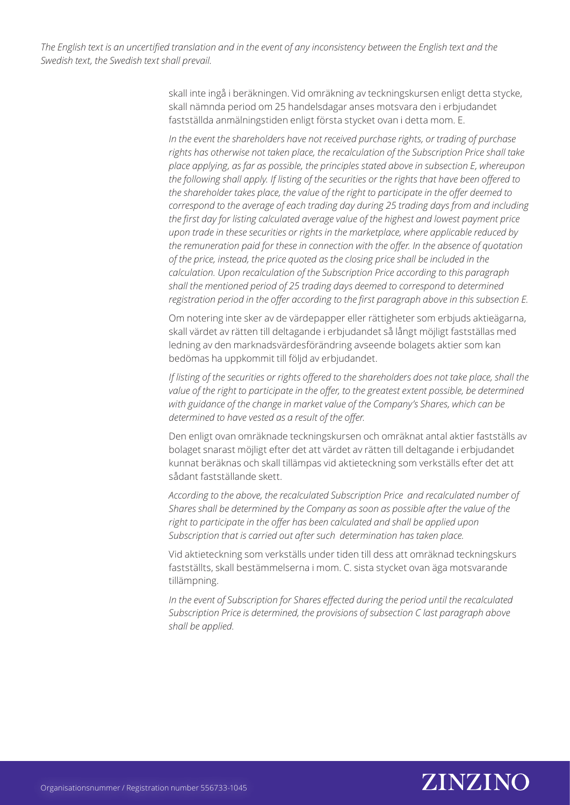> skall inte ingå i beräkningen. Vid omräkning av teckningskursen enligt detta stycke, skall nämnda period om 25 handelsdagar anses motsvara den i erbjudandet fastställda anmälningstiden enligt första stycket ovan i detta mom. E.

*In the event the shareholders have not received purchase rights, or trading of purchase rights has otherwise not taken place, the recalculation of the Subscription Price shall take place applying, as far as possible, the principles stated above in subsection E, whereupon the following shall apply. If listing of the securities or the rights that have been offered to the shareholder takes place, the value of the right to participate in the offer deemed to correspond to the average of each trading day during 25 trading days from and including the first day for listing calculated average value of the highest and lowest payment price upon trade in these securities or rights in the marketplace, where applicable reduced by the remuneration paid for these in connection with the offer. In the absence of quotation of the price, instead, the price quoted as the closing price shall be included in the calculation. Upon recalculation of the Subscription Price according to this paragraph shall the mentioned period of 25 trading days deemed to correspond to determined registration period in the offer according to the first paragraph above in this subsection E.* 

Om notering inte sker av de värdepapper eller rättigheter som erbjuds aktieägarna, skall värdet av rätten till deltagande i erbjudandet så långt möjligt fastställas med ledning av den marknadsvärdesförändring avseende bolagets aktier som kan bedömas ha uppkommit till följd av erbjudandet.

*If listing of the securities or rights offered to the shareholders does not take place, shall the* value of the right to participate in the offer, to the greatest extent possible, be determined *with guidance of the change in market value of the Company's Shares, which can be determined to have vested as a result of the offer.*

Den enligt ovan omräknade teckningskursen och omräknat antal aktier fastställs av bolaget snarast möjligt efter det att värdet av rätten till deltagande i erbjudandet kunnat beräknas och skall tillämpas vid aktieteckning som verkställs efter det att sådant fastställande skett.

*According to the above, the recalculated Subscription Price and recalculated number of Shares shall be determined by the Company as soon as possible after the value of the*  right to participate in the offer has been calculated and shall be applied upon *Subscription that is carried out after such determination has taken place.* 

Vid aktieteckning som verkställs under tiden till dess att omräknad teckningskurs fastställts, skall bestämmelserna i mom. C. sista stycket ovan äga motsvarande tillämpning.

*In the event of Subscription for Shares effected during the period until the recalculated Subscription Price is determined, the provisions of subsection C last paragraph above shall be applied.*

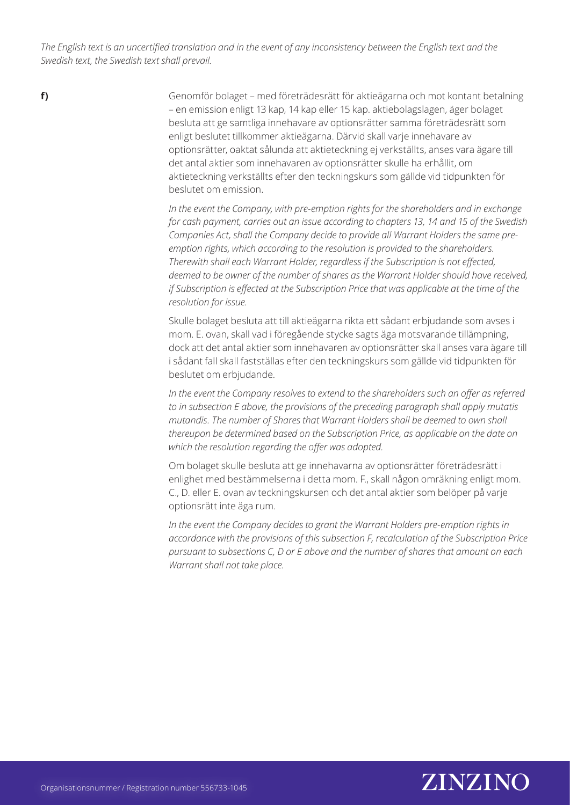**f)**

Genomför bolaget – med företrädesrätt för aktieägarna och mot kontant betalning – en emission enligt 13 kap, 14 kap eller 15 kap. aktiebolagslagen, äger bolaget besluta att ge samtliga innehavare av optionsrätter samma företrädesrätt som enligt beslutet tillkommer aktieägarna. Därvid skall varje innehavare av optionsrätter, oaktat sålunda att aktieteckning ej verkställts, anses vara ägare till det antal aktier som innehavaren av optionsrätter skulle ha erhållit, om aktieteckning verkställts efter den teckningskurs som gällde vid tidpunkten för beslutet om emission.

*In the event the Company, with pre-emption rights for the shareholders and in exchange for cash payment, carries out an issue according to chapters 13, 14 and 15 of the Swedish Companies Act, shall the Company decide to provide all Warrant Holders the same preemption rights, which according to the resolution is provided to the shareholders. Therewith shall each Warrant Holder, regardless if the Subscription is not effected, deemed to be owner of the number of shares as the Warrant Holder should have received, if Subscription is effected at the Subscription Price that was applicable at the time of the resolution for issue.* 

Skulle bolaget besluta att till aktieägarna rikta ett sådant erbjudande som avses i mom. E. ovan, skall vad i föregående stycke sagts äga motsvarande tillämpning, dock att det antal aktier som innehavaren av optionsrätter skall anses vara ägare till i sådant fall skall fastställas efter den teckningskurs som gällde vid tidpunkten för beslutet om erbjudande.

*In the event the Company resolves to extend to the shareholders such an offer as referred to in subsection E above, the provisions of the preceding paragraph shall apply mutatis mutandis. The number of Shares that Warrant Holders shall be deemed to own shall thereupon be determined based on the Subscription Price, as applicable on the date on which the resolution regarding the offer was adopted.*

Om bolaget skulle besluta att ge innehavarna av optionsrätter företrädesrätt i enlighet med bestämmelserna i detta mom. F., skall någon omräkning enligt mom. C., D. eller E. ovan av teckningskursen och det antal aktier som belöper på varje optionsrätt inte äga rum.

*In the event the Company decides to grant the Warrant Holders pre-emption rights in accordance with the provisions of this subsection F, recalculation of the Subscription Price pursuant to subsections C, D or E above and the number of shares that amount on each Warrant shall not take place.* 

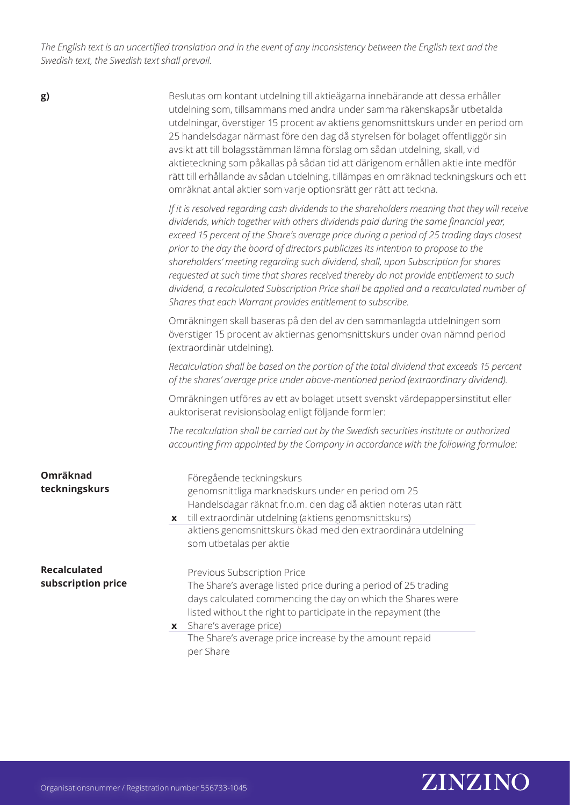**g)**

Beslutas om kontant utdelning till aktieägarna innebärande att dessa erhåller utdelning som, tillsammans med andra under samma räkenskapsår utbetalda utdelningar, överstiger 15 procent av aktiens genomsnittskurs under en period om 25 handelsdagar närmast före den dag då styrelsen för bolaget offentliggör sin avsikt att till bolagsstämman lämna förslag om sådan utdelning, skall, vid aktieteckning som påkallas på sådan tid att därigenom erhållen aktie inte medför rätt till erhållande av sådan utdelning, tillämpas en omräknad teckningskurs och ett omräknat antal aktier som varje optionsrätt ger rätt att teckna.

*If it is resolved regarding cash dividends to the shareholders meaning that they will receive dividends, which together with others dividends paid during the same financial year, exceed 15 percent of the Share's average price during a period of 25 trading days closest prior to the day the board of directors publicizes its intention to propose to the shareholders' meeting regarding such dividend, shall, upon Subscription for shares requested at such time that shares received thereby do not provide entitlement to such dividend, a recalculated Subscription Price shall be applied and a recalculated number of Shares that each Warrant provides entitlement to subscribe.*

Omräkningen skall baseras på den del av den sammanlagda utdelningen som överstiger 15 procent av aktiernas genomsnittskurs under ovan nämnd period (extraordinär utdelning).

*Recalculation shall be based on the portion of the total dividend that exceeds 15 percent of the shares' average price under above-mentioned period (extraordinary dividend).*

Omräkningen utföres av ett av bolaget utsett svenskt värdepappersinstitut eller auktoriserat revisionsbolag enligt följande formler:

*The recalculation shall be carried out by the Swedish securities institute or authorized accounting firm appointed by the Company in accordance with the following formulae:*

| Omräknad<br>teckningskurs                 | Föregående teckningskurs<br>genomsnittliga marknadskurs under en period om 25<br>Handelsdagar räknat fr.o.m. den dag då aktien noteras utan rätt<br>x till extraordinär utdelning (aktiens genomsnittskurs) |                                                                                                                                                                                                                                                                                                                      |
|-------------------------------------------|-------------------------------------------------------------------------------------------------------------------------------------------------------------------------------------------------------------|----------------------------------------------------------------------------------------------------------------------------------------------------------------------------------------------------------------------------------------------------------------------------------------------------------------------|
|                                           |                                                                                                                                                                                                             | aktiens genomsnittskurs ökad med den extraordinära utdelning<br>som utbetalas per aktie                                                                                                                                                                                                                              |
| <b>Recalculated</b><br>subscription price | per Share                                                                                                                                                                                                   | Previous Subscription Price<br>The Share's average listed price during a period of 25 trading<br>days calculated commencing the day on which the Shares were<br>listed without the right to participate in the repayment (the<br>x Share's average price)<br>The Share's average price increase by the amount repaid |

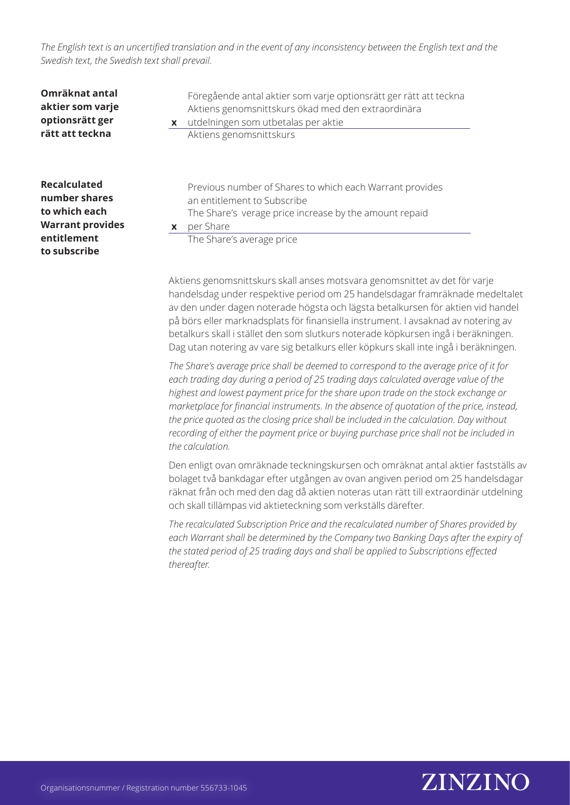| Omräknat antal<br>aktier som varje<br>optionsrätt ger<br>rätt att teckna                                        | $\mathbf{x}$ | Föregående antal aktier som varje optionsrätt ger rätt att teckna<br>Aktiens genomsnittskurs ökad med den extraordinära<br>utdelningen som utbetalas per aktie<br>Aktiens genomsnittskurs   |
|-----------------------------------------------------------------------------------------------------------------|--------------|---------------------------------------------------------------------------------------------------------------------------------------------------------------------------------------------|
| <b>Recalculated</b><br>number shares<br>to which each<br><b>Warrant provides</b><br>entitlement<br>to subscribe | X            | Previous number of Shares to which each Warrant provides<br>an entitlement to Subscribe<br>The Share's verage price increase by the amount repaid<br>per Share<br>The Share's average price |

Aktiens genomsnittskurs skall anses motsvara genomsnittet av det för varje handelsdag under respektive period om 25 handelsdagar framräknade medeltalet av den under dagen noterade högsta och lägsta betalkursen för aktien vid handel på börs eller marknadsplats för finansiella instrument. I avsaknad av notering av betalkurs skall i stället den som slutkurs noterade köpkursen ingå i beräkningen. Dag utan notering av vare sig betalkurs eller köpkurs skall inte ingå i beräkningen.

*The Share's average price shall be deemed to correspond to the average price of it for each trading day during a period of 25 trading days calculated average value of the highest and lowest payment price for the share upon trade on the stock exchange or marketplace for financial instruments. In the absence of quotation of the price, instead, the price quoted as the closing price shall be included in the calculation. Day without recording of either the payment price or buying purchase price shall not be included in the calculation.*

Den enligt ovan omräknade teckningskursen och omräknat antal aktier fastställs av bolaget två bankdagar efter utgången av ovan angiven period om 25 handelsdagar räknat från och med den dag då aktien noteras utan rätt till extraordinär utdelning och skall tillämpas vid aktieteckning som verkställs därefter.

*The recalculated Subscription Price and the recalculated number of Shares provided by each Warrant shall be determined by the Company two Banking Days after the expiry of the stated period of 25 trading days and shall be applied to Subscriptions effected thereafter.*

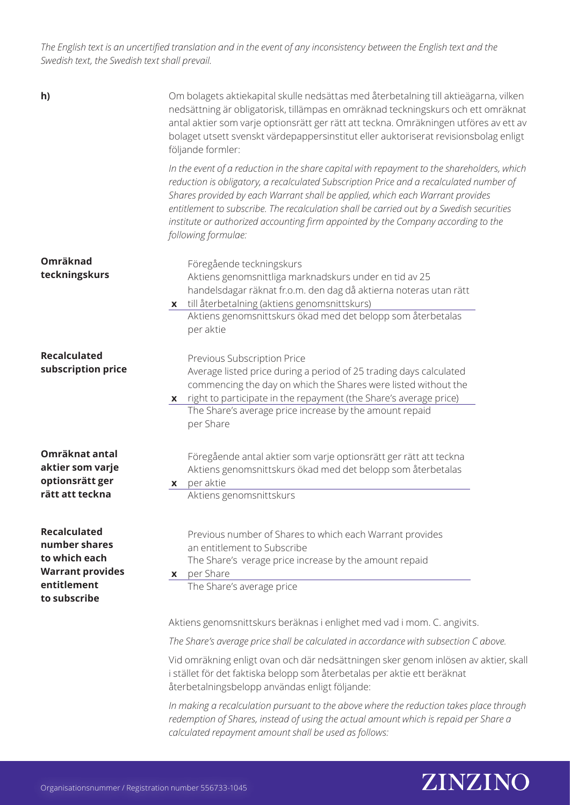| h)                                                                                                              | Om bolagets aktiekapital skulle nedsättas med återbetalning till aktieägarna, vilken<br>nedsättning är obligatorisk, tillämpas en omräknad teckningskurs och ett omräknat<br>antal aktier som varje optionsrätt ger rätt att teckna. Omräkningen utföres av ett av<br>bolaget utsett svenskt värdepappersinstitut eller auktoriserat revisionsbolag enligt<br>följande formler:                                                                                                |  |  |  |  |
|-----------------------------------------------------------------------------------------------------------------|--------------------------------------------------------------------------------------------------------------------------------------------------------------------------------------------------------------------------------------------------------------------------------------------------------------------------------------------------------------------------------------------------------------------------------------------------------------------------------|--|--|--|--|
|                                                                                                                 | In the event of a reduction in the share capital with repayment to the shareholders, which<br>reduction is obligatory, a recalculated Subscription Price and a recalculated number of<br>Shares provided by each Warrant shall be applied, which each Warrant provides<br>entitlement to subscribe. The recalculation shall be carried out by a Swedish securities<br>institute or authorized accounting firm appointed by the Company according to the<br>following formulae: |  |  |  |  |
| Omräknad<br>teckningskurs                                                                                       | Föregående teckningskurs<br>Aktiens genomsnittliga marknadskurs under en tid av 25<br>handelsdagar räknat fr.o.m. den dag då aktierna noteras utan rätt<br>x till återbetalning (aktiens genomsnittskurs)<br>Aktiens genomsnittskurs ökad med det belopp som återbetalas<br>per aktie                                                                                                                                                                                          |  |  |  |  |
| <b>Recalculated</b><br>subscription price                                                                       | Previous Subscription Price<br>Average listed price during a period of 25 trading days calculated<br>commencing the day on which the Shares were listed without the<br>x right to participate in the repayment (the Share's average price)<br>The Share's average price increase by the amount repaid<br>per Share                                                                                                                                                             |  |  |  |  |
| Omräknat antal<br>aktier som varje<br>optionsrätt ger<br>rätt att teckna                                        | Föregående antal aktier som varje optionsrätt ger rätt att teckna<br>Aktiens genomsnittskurs ökad med det belopp som återbetalas<br>per aktie<br><b>X</b><br>Aktiens genomsnittskurs                                                                                                                                                                                                                                                                                           |  |  |  |  |
| <b>Recalculated</b><br>number shares<br>to which each<br><b>Warrant provides</b><br>entitlement<br>to subscribe | Previous number of Shares to which each Warrant provides<br>an entitlement to Subscribe<br>The Share's verage price increase by the amount repaid<br>x per Share<br>The Share's average price                                                                                                                                                                                                                                                                                  |  |  |  |  |
|                                                                                                                 | Aktiens genomsnittskurs beräknas i enlighet med vad i mom. C. angivits.<br>The Share's average price shall be calculated in accordance with subsection C above.                                                                                                                                                                                                                                                                                                                |  |  |  |  |
|                                                                                                                 | Vid omräkning enligt ovan och där nedsättningen sker genom inlösen av aktier, skall<br>i stället för det faktiska belopp som återbetalas per aktie ett beräknat<br>återbetalningsbelopp användas enligt följande:                                                                                                                                                                                                                                                              |  |  |  |  |
|                                                                                                                 | In making a recalculation pursuant to the above where the reduction takes place through<br>redemption of Shares, instead of using the actual amount which is repaid per Share a<br>calculated repayment amount shall be used as follows:                                                                                                                                                                                                                                       |  |  |  |  |

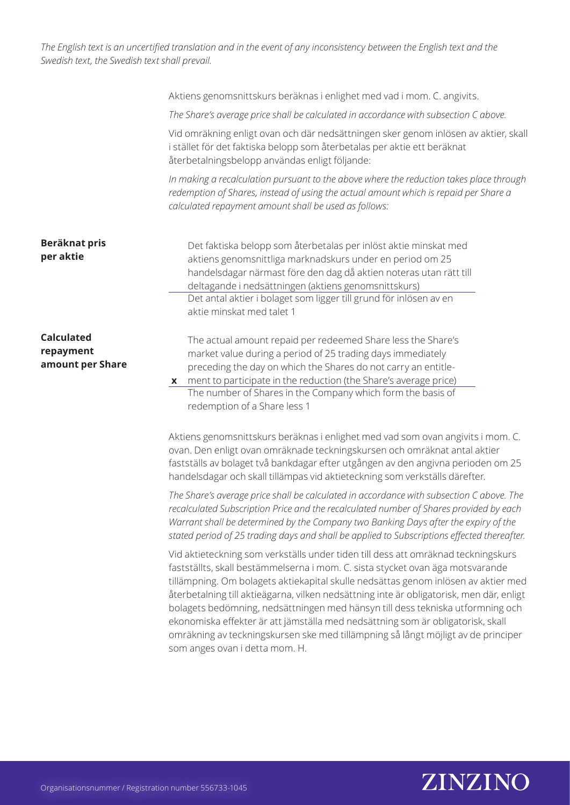|                                                    | Aktiens genomsnittskurs beräknas i enlighet med vad i mom. C. angivits.                                                                                                                                                                                                                                                                                                                                                                                                                                                                                                                                                                           |
|----------------------------------------------------|---------------------------------------------------------------------------------------------------------------------------------------------------------------------------------------------------------------------------------------------------------------------------------------------------------------------------------------------------------------------------------------------------------------------------------------------------------------------------------------------------------------------------------------------------------------------------------------------------------------------------------------------------|
|                                                    | The Share's average price shall be calculated in accordance with subsection C above.                                                                                                                                                                                                                                                                                                                                                                                                                                                                                                                                                              |
|                                                    | Vid omräkning enligt ovan och där nedsättningen sker genom inlösen av aktier, skall<br>i stället för det faktiska belopp som återbetalas per aktie ett beräknat<br>återbetalningsbelopp användas enligt följande:                                                                                                                                                                                                                                                                                                                                                                                                                                 |
|                                                    | In making a recalculation pursuant to the above where the reduction takes place through<br>redemption of Shares, instead of using the actual amount which is repaid per Share a<br>calculated repayment amount shall be used as follows:                                                                                                                                                                                                                                                                                                                                                                                                          |
| Beräknat pris<br>per aktie                         | Det faktiska belopp som återbetalas per inlöst aktie minskat med<br>aktiens genomsnittliga marknadskurs under en period om 25<br>handelsdagar närmast före den dag då aktien noteras utan rätt till<br>deltagande i nedsättningen (aktiens genomsnittskurs)<br>Det antal aktier i bolaget som ligger till grund för inlösen av en<br>aktie minskat med talet 1                                                                                                                                                                                                                                                                                    |
| <b>Calculated</b><br>repayment<br>amount per Share | The actual amount repaid per redeemed Share less the Share's<br>market value during a period of 25 trading days immediately<br>preceding the day on which the Shares do not carry an entitle-<br>ment to participate in the reduction (the Share's average price)<br>X<br>The number of Shares in the Company which form the basis of<br>redemption of a Share less 1                                                                                                                                                                                                                                                                             |
|                                                    | Aktiens genomsnittskurs beräknas i enlighet med vad som ovan angivits i mom. C.<br>ovan. Den enligt ovan omräknade teckningskursen och omräknat antal aktier<br>fastställs av bolaget två bankdagar efter utgången av den angivna perioden om 25<br>handelsdagar och skall tillämpas vid aktieteckning som verkställs därefter.                                                                                                                                                                                                                                                                                                                   |
|                                                    | The Share's average price shall be calculated in accordance with subsection C above. The<br>recalculated Subscription Price and the recalculated number of Shares provided by each<br>Warrant shall be determined by the Company two Banking Days after the expiry of the<br>stated period of 25 trading days and shall be applied to Subscriptions effected thereafter.                                                                                                                                                                                                                                                                          |
|                                                    | Vid aktieteckning som verkställs under tiden till dess att omräknad teckningskurs<br>fastställts, skall bestämmelserna i mom. C. sista stycket ovan äga motsvarande<br>tillämpning. Om bolagets aktiekapital skulle nedsättas genom inlösen av aktier med<br>återbetalning till aktieägarna, vilken nedsättning inte är obligatorisk, men där, enligt<br>bolagets bedömning, nedsättningen med hänsyn till dess tekniska utformning och<br>ekonomiska effekter är att jämställa med nedsättning som är obligatorisk, skall<br>omräkning av teckningskursen ske med tillämpning så långt möjligt av de principer<br>som anges ovan i detta mom. H. |

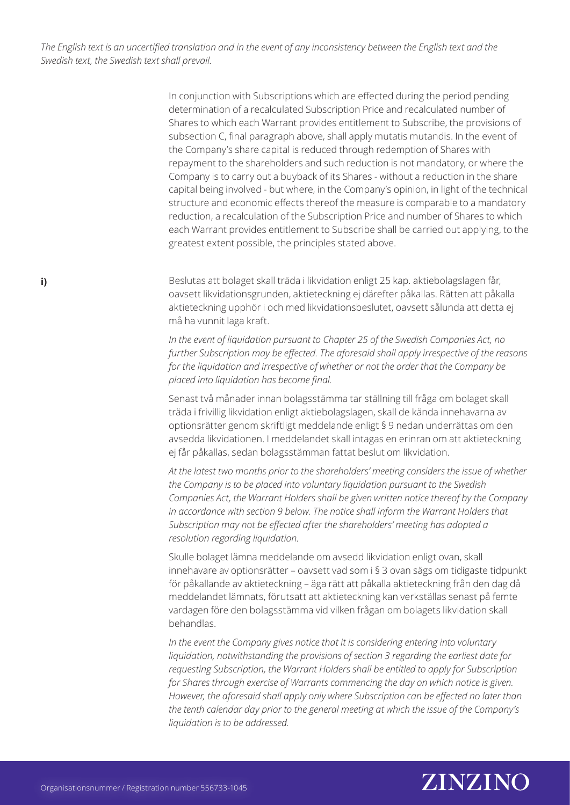> In conjunction with Subscriptions which are effected during the period pending determination of a recalculated Subscription Price and recalculated number of Shares to which each Warrant provides entitlement to Subscribe, the provisions of subsection C, final paragraph above, shall apply mutatis mutandis. In the event of the Company's share capital is reduced through redemption of Shares with repayment to the shareholders and such reduction is not mandatory, or where the Company is to carry out a buyback of its Shares - without a reduction in the share capital being involved - but where, in the Company's opinion, in light of the technical structure and economic effects thereof the measure is comparable to a mandatory reduction, a recalculation of the Subscription Price and number of Shares to which each Warrant provides entitlement to Subscribe shall be carried out applying, to the greatest extent possible, the principles stated above.

Beslutas att bolaget skall träda i likvidation enligt 25 kap. aktiebolagslagen får, oavsett likvidationsgrunden, aktieteckning ej därefter påkallas. Rätten att påkalla aktieteckning upphör i och med likvidationsbeslutet, oavsett sålunda att detta ej må ha vunnit laga kraft.

*In the event of liquidation pursuant to Chapter 25 of the Swedish Companies Act, no further Subscription may be effected. The aforesaid shall apply irrespective of the reasons for the liquidation and irrespective of whether or not the order that the Company be placed into liquidation has become final.*

Senast två månader innan bolagsstämma tar ställning till fråga om bolaget skall träda i frivillig likvidation enligt aktiebolagslagen, skall de kända innehavarna av optionsrätter genom skriftligt meddelande enligt § 9 nedan underrättas om den avsedda likvidationen. I meddelandet skall intagas en erinran om att aktieteckning ej får påkallas, sedan bolagsstämman fattat beslut om likvidation.

*At the latest two months prior to the shareholders' meeting considers the issue of whether the Company is to be placed into voluntary liquidation pursuant to the Swedish Companies Act, the Warrant Holders shall be given written notice thereof by the Company in accordance with section 9 below. The notice shall inform the Warrant Holders that Subscription may not be effected after the shareholders' meeting has adopted a resolution regarding liquidation.*

Skulle bolaget lämna meddelande om avsedd likvidation enligt ovan, skall innehavare av optionsrätter – oavsett vad som i § 3 ovan sägs om tidigaste tidpunkt för påkallande av aktieteckning – äga rätt att påkalla aktieteckning från den dag då meddelandet lämnats, förutsatt att aktieteckning kan verkställas senast på femte vardagen före den bolagsstämma vid vilken frågan om bolagets likvidation skall behandlas.

*In the event the Company gives notice that it is considering entering into voluntary liquidation, notwithstanding the provisions of section 3 regarding the earliest date for requesting Subscription, the Warrant Holders shall be entitled to apply for Subscription for Shares through exercise of Warrants commencing the day on which notice is given. However, the aforesaid shall apply only where Subscription can be effected no later than the tenth calendar day prior to the general meeting at which the issue of the Company's liquidation is to be addressed.*



**i)**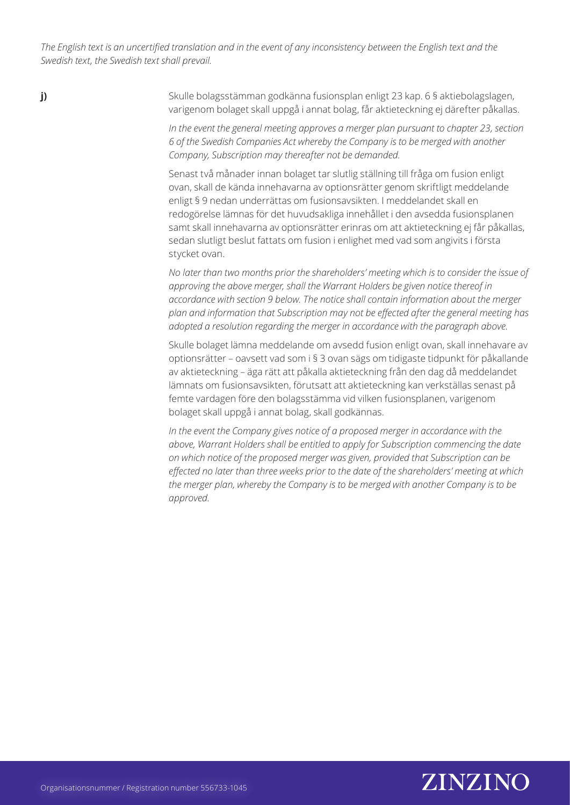**j)**

Skulle bolagsstämman godkänna fusionsplan enligt 23 kap. 6 § aktiebolagslagen, varigenom bolaget skall uppgå i annat bolag, får aktieteckning ej därefter påkallas.

*In the event the general meeting approves a merger plan pursuant to chapter 23, section 6 of the Swedish Companies Act whereby the Company is to be merged with another Company, Subscription may thereafter not be demanded.*

Senast två månader innan bolaget tar slutlig ställning till fråga om fusion enligt ovan, skall de kända innehavarna av optionsrätter genom skriftligt meddelande enligt § 9 nedan underrättas om fusionsavsikten. I meddelandet skall en redogörelse lämnas för det huvudsakliga innehållet i den avsedda fusionsplanen samt skall innehavarna av optionsrätter erinras om att aktieteckning ej får påkallas, sedan slutligt beslut fattats om fusion i enlighet med vad som angivits i första stycket ovan.

*No later than two months prior the shareholders' meeting which is to consider the issue of approving the above merger, shall the Warrant Holders be given notice thereof in accordance with section 9 below. The notice shall contain information about the merger plan and information that Subscription may not be effected after the general meeting has adopted a resolution regarding the merger in accordance with the paragraph above.*

Skulle bolaget lämna meddelande om avsedd fusion enligt ovan, skall innehavare av optionsrätter – oavsett vad som i § 3 ovan sägs om tidigaste tidpunkt för påkallande av aktieteckning – äga rätt att påkalla aktieteckning från den dag då meddelandet lämnats om fusionsavsikten, förutsatt att aktieteckning kan verkställas senast på femte vardagen före den bolagsstämma vid vilken fusionsplanen, varigenom bolaget skall uppgå i annat bolag, skall godkännas.

*In the event the Company gives notice of a proposed merger in accordance with the above, Warrant Holders shall be entitled to apply for Subscription commencing the date on which notice of the proposed merger was given, provided that Subscription can be effected no later than three weeks prior to the date of the shareholders' meeting at which the merger plan, whereby the Company is to be merged with another Company is to be approved.*

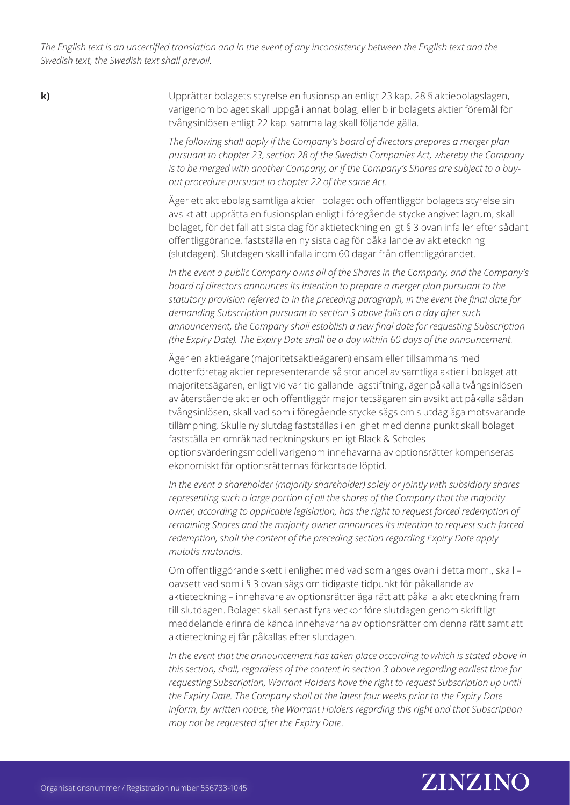**k)**

Upprättar bolagets styrelse en fusionsplan enligt 23 kap. 28 § aktiebolagslagen, varigenom bolaget skall uppgå i annat bolag, eller blir bolagets aktier föremål för tvångsinlösen enligt 22 kap. samma lag skall följande gälla.

*The following shall apply if the Company's board of directors prepares a merger plan pursuant to chapter 23, section 28 of the Swedish Companies Act, whereby the Company is to be merged with another Company, or if the Company's Shares are subject to a buyout procedure pursuant to chapter 22 of the same Act.*

Äger ett aktiebolag samtliga aktier i bolaget och offentliggör bolagets styrelse sin avsikt att upprätta en fusionsplan enligt i föregående stycke angivet lagrum, skall bolaget, för det fall att sista dag för aktieteckning enligt § 3 ovan infaller efter sådant offentliggörande, fastställa en ny sista dag för påkallande av aktieteckning (slutdagen). Slutdagen skall infalla inom 60 dagar från offentliggörandet.

*In the event a public Company owns all of the Shares in the Company, and the Company's board of directors announces its intention to prepare a merger plan pursuant to the statutory provision referred to in the preceding paragraph, in the event the final date for demanding Subscription pursuant to section 3 above falls on a day after such announcement, the Company shall establish a new final date for requesting Subscription (the Expiry Date). The Expiry Date shall be a day within 60 days of the announcement.*

Äger en aktieägare (majoritetsaktieägaren) ensam eller tillsammans med dotterföretag aktier representerande så stor andel av samtliga aktier i bolaget att majoritetsägaren, enligt vid var tid gällande lagstiftning, äger påkalla tvångsinlösen av återstående aktier och offentliggör majoritetsägaren sin avsikt att påkalla sådan tvångsinlösen, skall vad som i föregående stycke sägs om slutdag äga motsvarande tillämpning. Skulle ny slutdag fastställas i enlighet med denna punkt skall bolaget fastställa en omräknad teckningskurs enligt Black & Scholes optionsvärderingsmodell varigenom innehavarna av optionsrätter kompenseras ekonomiskt för optionsrätternas förkortade löptid.

*In the event a shareholder (majority shareholder) solely or jointly with subsidiary shares representing such a large portion of all the shares of the Company that the majority owner, according to applicable legislation, has the right to request forced redemption of remaining Shares and the majority owner announces its intention to request such forced redemption, shall the content of the preceding section regarding Expiry Date apply mutatis mutandis.*

Om offentliggörande skett i enlighet med vad som anges ovan i detta mom., skall – oavsett vad som i § 3 ovan sägs om tidigaste tidpunkt för påkallande av aktieteckning – innehavare av optionsrätter äga rätt att påkalla aktieteckning fram till slutdagen. Bolaget skall senast fyra veckor före slutdagen genom skriftligt meddelande erinra de kända innehavarna av optionsrätter om denna rätt samt att aktieteckning ej får påkallas efter slutdagen.

In the event that the announcement has taken place according to which is stated above in *this section, shall, regardless of the content in section 3 above regarding earliest time for requesting Subscription, Warrant Holders have the right to request Subscription up until the Expiry Date. The Company shall at the latest four weeks prior to the Expiry Date inform, by written notice, the Warrant Holders regarding this right and that Subscription may not be requested after the Expiry Date.*

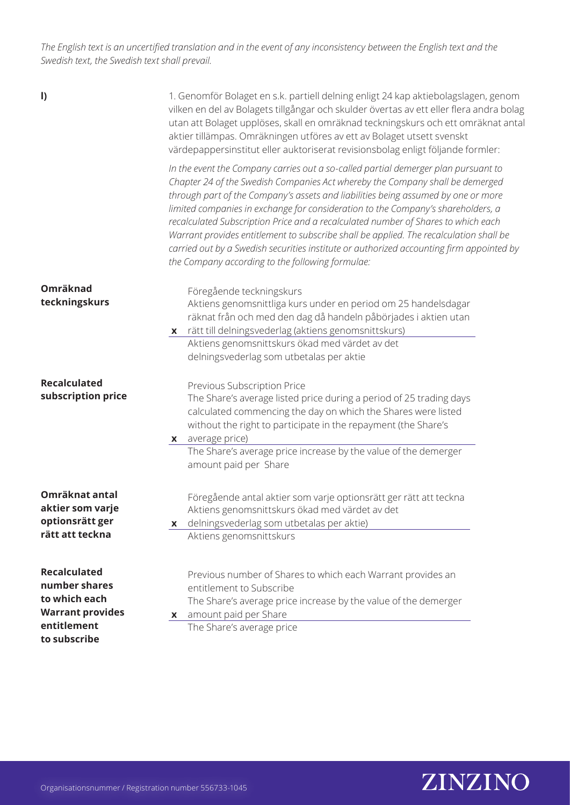| $\vert$                                                                                         | 1. Genomför Bolaget en s.k. partiell delning enligt 24 kap aktiebolagslagen, genom<br>vilken en del av Bolagets tillgångar och skulder övertas av ett eller flera andra bolag<br>utan att Bolaget upplöses, skall en omräknad teckningskurs och ett omräknat antal<br>aktier tillämpas. Omräkningen utföres av ett av Bolaget utsett svenskt<br>värdepappersinstitut eller auktoriserat revisionsbolag enligt följande formler:                                                                                                                                                                                                                                             |
|-------------------------------------------------------------------------------------------------|-----------------------------------------------------------------------------------------------------------------------------------------------------------------------------------------------------------------------------------------------------------------------------------------------------------------------------------------------------------------------------------------------------------------------------------------------------------------------------------------------------------------------------------------------------------------------------------------------------------------------------------------------------------------------------|
|                                                                                                 | In the event the Company carries out a so-called partial demerger plan pursuant to<br>Chapter 24 of the Swedish Companies Act whereby the Company shall be demerged<br>through part of the Company's assets and liabilities being assumed by one or more<br>limited companies in exchange for consideration to the Company's shareholders, a<br>recalculated Subscription Price and a recalculated number of Shares to which each<br>Warrant provides entitlement to subscribe shall be applied. The recalculation shall be<br>carried out by a Swedish securities institute or authorized accounting firm appointed by<br>the Company according to the following formulae: |
| Omräknad<br>teckningskurs                                                                       | Föregående teckningskurs<br>Aktiens genomsnittliga kurs under en period om 25 handelsdagar<br>räknat från och med den dag då handeln påbörjades i aktien utan<br>x rätt till delningsvederlag (aktiens genomsnittskurs)<br>Aktiens genomsnittskurs ökad med värdet av det<br>delningsvederlag som utbetalas per aktie                                                                                                                                                                                                                                                                                                                                                       |
| <b>Recalculated</b><br>subscription price                                                       | Previous Subscription Price<br>The Share's average listed price during a period of 25 trading days<br>calculated commencing the day on which the Shares were listed<br>without the right to participate in the repayment (the Share's<br>average price)<br>X                                                                                                                                                                                                                                                                                                                                                                                                                |
|                                                                                                 | The Share's average price increase by the value of the demerger<br>amount paid per Share                                                                                                                                                                                                                                                                                                                                                                                                                                                                                                                                                                                    |
| Omräknat antal<br>aktier som varje<br>optionsrätt ger<br>rätt att teckna                        | Föregående antal aktier som varje optionsrätt ger rätt att teckna<br>Aktiens genomsnittskurs ökad med värdet av det<br>delningsvederlag som utbetalas per aktie)<br>X<br>Aktiens genomsnittskurs                                                                                                                                                                                                                                                                                                                                                                                                                                                                            |
| <b>Recalculated</b><br>number shares<br>to which each<br><b>Warrant provides</b><br>entitlement | Previous number of Shares to which each Warrant provides an<br>entitlement to Subscribe<br>The Share's average price increase by the value of the demerger<br>amount paid per Share<br>X<br>The Share's average price                                                                                                                                                                                                                                                                                                                                                                                                                                                       |
| to subscribe                                                                                    |                                                                                                                                                                                                                                                                                                                                                                                                                                                                                                                                                                                                                                                                             |

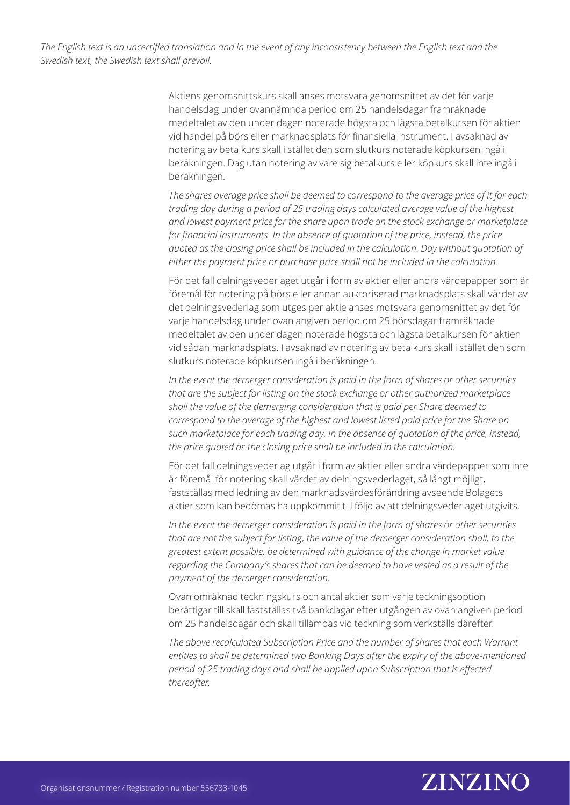> Aktiens genomsnittskurs skall anses motsvara genomsnittet av det för varje handelsdag under ovannämnda period om 25 handelsdagar framräknade medeltalet av den under dagen noterade högsta och lägsta betalkursen för aktien vid handel på börs eller marknadsplats för finansiella instrument. I avsaknad av notering av betalkurs skall i stället den som slutkurs noterade köpkursen ingå i beräkningen. Dag utan notering av vare sig betalkurs eller köpkurs skall inte ingå i beräkningen.

*The shares average price shall be deemed to correspond to the average price of it for each trading day during a period of 25 trading days calculated average value of the highest and lowest payment price for the share upon trade on the stock exchange or marketplace for financial instruments. In the absence of quotation of the price, instead, the price quoted as the closing price shall be included in the calculation. Day without quotation of either the payment price or purchase price shall not be included in the calculation.*

För det fall delningsvederlaget utgår i form av aktier eller andra värdepapper som är föremål för notering på börs eller annan auktoriserad marknadsplats skall värdet av det delningsvederlag som utges per aktie anses motsvara genomsnittet av det för varje handelsdag under ovan angiven period om 25 börsdagar framräknade medeltalet av den under dagen noterade högsta och lägsta betalkursen för aktien vid sådan marknadsplats. I avsaknad av notering av betalkurs skall i stället den som slutkurs noterade köpkursen ingå i beräkningen.

*In the event the demerger consideration is paid in the form of shares or other securities that are the subject for listing on the stock exchange or other authorized marketplace shall the value of the demerging consideration that is paid per Share deemed to correspond to the average of the highest and lowest listed paid price for the Share on such marketplace for each trading day. In the absence of quotation of the price, instead, the price quoted as the closing price shall be included in the calculation.* 

För det fall delningsvederlag utgår i form av aktier eller andra värdepapper som inte är föremål för notering skall värdet av delningsvederlaget, så långt möjligt, fastställas med ledning av den marknadsvärdesförändring avseende Bolagets aktier som kan bedömas ha uppkommit till följd av att delningsvederlaget utgivits.

*In the event the demerger consideration is paid in the form of shares or other securities that are not the subject for listing, the value of the demerger consideration shall, to the greatest extent possible, be determined with guidance of the change in market value regarding the Company's shares that can be deemed to have vested as a result of the payment of the demerger consideration.* 

Ovan omräknad teckningskurs och antal aktier som varje teckningsoption berättigar till skall fastställas två bankdagar efter utgången av ovan angiven period om 25 handelsdagar och skall tillämpas vid teckning som verkställs därefter.

*The above recalculated Subscription Price and the number of shares that each Warrant entitles to shall be determined two Banking Days after the expiry of the above-mentioned period of 25 trading days and shall be applied upon Subscription that is effected thereafter.* 

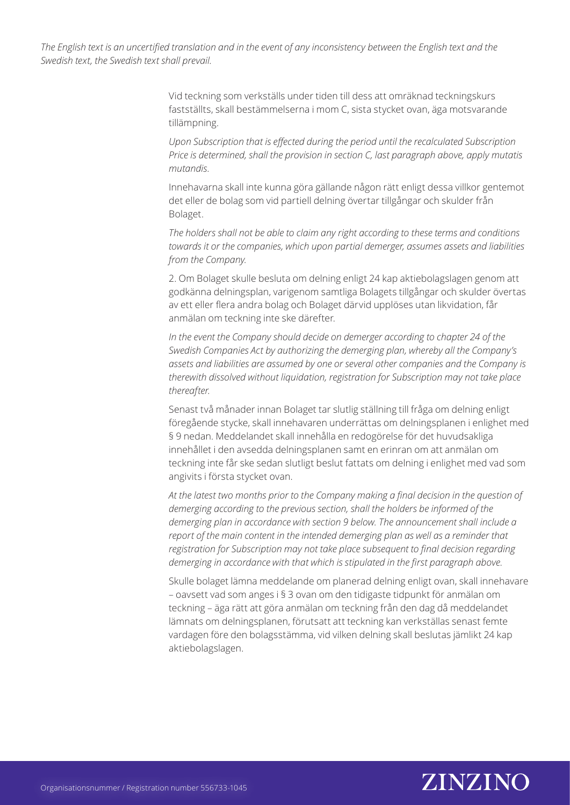> Vid teckning som verkställs under tiden till dess att omräknad teckningskurs fastställts, skall bestämmelserna i mom C, sista stycket ovan, äga motsvarande tillämpning.

*Upon Subscription that is effected during the period until the recalculated Subscription Price is determined, shall the provision in section C, last paragraph above, apply mutatis mutandis.*

Innehavarna skall inte kunna göra gällande någon rätt enligt dessa villkor gentemot det eller de bolag som vid partiell delning övertar tillgångar och skulder från Bolaget.

*The holders shall not be able to claim any right according to these terms and conditions towards it or the companies, which upon partial demerger, assumes assets and liabilities from the Company.* 

2. Om Bolaget skulle besluta om delning enligt 24 kap aktiebolagslagen genom att godkänna delningsplan, varigenom samtliga Bolagets tillgångar och skulder övertas av ett eller flera andra bolag och Bolaget därvid upplöses utan likvidation, får anmälan om teckning inte ske därefter.

*In the event the Company should decide on demerger according to chapter 24 of the Swedish Companies Act by authorizing the demerging plan, whereby all the Company's assets and liabilities are assumed by one or several other companies and the Company is therewith dissolved without liquidation, registration for Subscription may not take place thereafter.*

Senast två månader innan Bolaget tar slutlig ställning till fråga om delning enligt föregående stycke, skall innehavaren underrättas om delningsplanen i enlighet med § 9 nedan. Meddelandet skall innehålla en redogörelse för det huvudsakliga innehållet i den avsedda delningsplanen samt en erinran om att anmälan om teckning inte får ske sedan slutligt beslut fattats om delning i enlighet med vad som angivits i första stycket ovan.

*At the latest two months prior to the Company making a final decision in the question of demerging according to the previous section, shall the holders be informed of the demerging plan in accordance with section 9 below. The announcement shall include a report of the main content in the intended demerging plan as well as a reminder that registration for Subscription may not take place subsequent to final decision regarding demerging in accordance with that which is stipulated in the first paragraph above.*

Skulle bolaget lämna meddelande om planerad delning enligt ovan, skall innehavare – oavsett vad som anges i § 3 ovan om den tidigaste tidpunkt för anmälan om teckning – äga rätt att göra anmälan om teckning från den dag då meddelandet lämnats om delningsplanen, förutsatt att teckning kan verkställas senast femte vardagen före den bolagsstämma, vid vilken delning skall beslutas jämlikt 24 kap aktiebolagslagen.

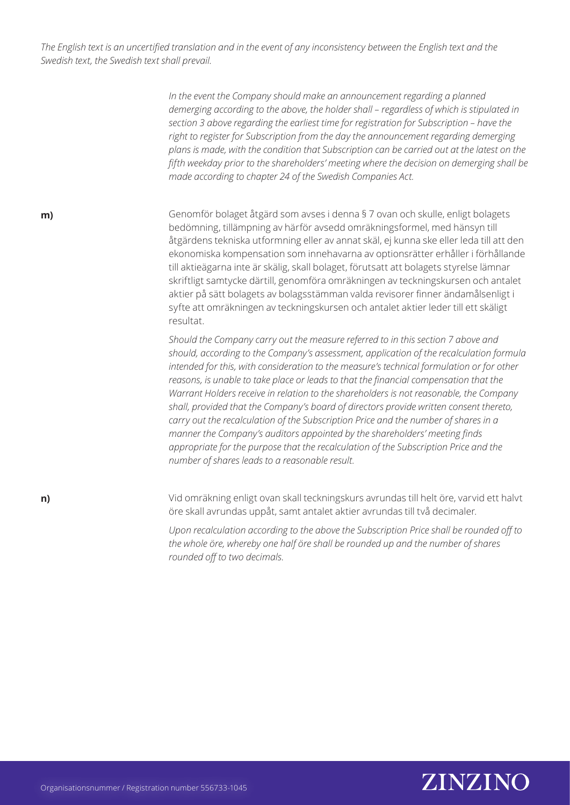> *In the event the Company should make an announcement regarding a planned demerging according to the above, the holder shall – regardless of which is stipulated in section 3 above regarding the earliest time for registration for Subscription – have the right to register for Subscription from the day the announcement regarding demerging plans is made, with the condition that Subscription can be carried out at the latest on the fifth weekday prior to the shareholders' meeting where the decision on demerging shall be made according to chapter 24 of the Swedish Companies Act.*

**m)**

**n)**

Genomför bolaget åtgärd som avses i denna § 7 ovan och skulle, enligt bolagets bedömning, tillämpning av härför avsedd omräkningsformel, med hänsyn till åtgärdens tekniska utformning eller av annat skäl, ej kunna ske eller leda till att den ekonomiska kompensation som innehavarna av optionsrätter erhåller i förhållande till aktieägarna inte är skälig, skall bolaget, förutsatt att bolagets styrelse lämnar skriftligt samtycke därtill, genomföra omräkningen av teckningskursen och antalet aktier på sätt bolagets av bolagsstämman valda revisorer finner ändamålsenligt i syfte att omräkningen av teckningskursen och antalet aktier leder till ett skäligt resultat.

*Should the Company carry out the measure referred to in this section 7 above and should, according to the Company's assessment, application of the recalculation formula intended for this, with consideration to the measure's technical formulation or for other reasons, is unable to take place or leads to that the financial compensation that the Warrant Holders receive in relation to the shareholders is not reasonable, the Company shall, provided that the Company's board of directors provide written consent thereto, carry out the recalculation of the Subscription Price and the number of shares in a manner the Company's auditors appointed by the shareholders' meeting finds appropriate for the purpose that the recalculation of the Subscription Price and the number of shares leads to a reasonable result.*

Vid omräkning enligt ovan skall teckningskurs avrundas till helt öre, varvid ett halvt öre skall avrundas uppåt, samt antalet aktier avrundas till två decimaler.

*Upon recalculation according to the above the Subscription Price shall be rounded off to the whole öre, whereby one half öre shall be rounded up and the number of shares rounded off to two decimals.* 

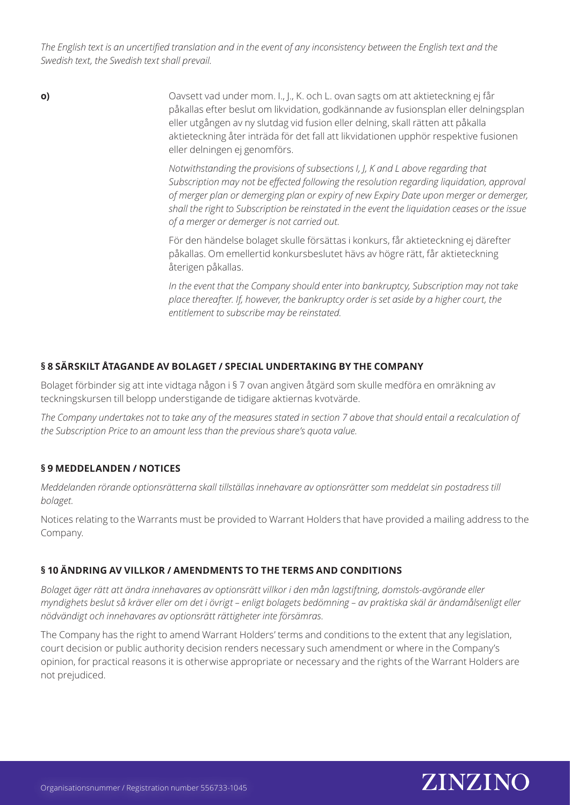> Oavsett vad under mom. I., J., K. och L. ovan sagts om att aktieteckning ej får påkallas efter beslut om likvidation, godkännande av fusionsplan eller delningsplan eller utgången av ny slutdag vid fusion eller delning, skall rätten att påkalla aktieteckning åter inträda för det fall att likvidationen upphör respektive fusionen eller delningen ej genomförs.

> > *Notwithstanding the provisions of subsections I, J, K and L above regarding that Subscription may not be effected following the resolution regarding liquidation, approval of merger plan or demerging plan or expiry of new Expiry Date upon merger or demerger, shall the right to Subscription be reinstated in the event the liquidation ceases or the issue of a merger or demerger is not carried out.*

För den händelse bolaget skulle försättas i konkurs, får aktieteckning ej därefter påkallas. Om emellertid konkursbeslutet hävs av högre rätt, får aktieteckning återigen påkallas.

*In the event that the Company should enter into bankruptcy, Subscription may not take place thereafter. If, however, the bankruptcy order is set aside by a higher court, the entitlement to subscribe may be reinstated.*

# **§ 8 SÄRSKILT ÅTAGANDE AV BOLAGET / SPECIAL UNDERTAKING BY THE COMPANY**

Bolaget förbinder sig att inte vidtaga någon i § 7 ovan angiven åtgärd som skulle medföra en omräkning av teckningskursen till belopp understigande de tidigare aktiernas kvotvärde.

*The Company undertakes not to take any of the measures stated in section 7 above that should entail a recalculation of the Subscription Price to an amount less than the previous share's quota value.*

# **§ 9 MEDDELANDEN / NOTICES**

**o)**

*Meddelanden rörande optionsrätterna skall tillställas innehavare av optionsrätter som meddelat sin postadress till bolaget.*

Notices relating to the Warrants must be provided to Warrant Holders that have provided a mailing address to the Company.

# **§ 10 ÄNDRING AV VILLKOR / AMENDMENTS TO THE TERMS AND CONDITIONS**

*Bolaget äger rätt att ändra innehavares av optionsrätt villkor i den mån lagstiftning, domstols-avgörande eller myndighets beslut så kräver eller om det i övrigt – enligt bolagets bedömning – av praktiska skäl är ändamålsenligt eller nödvändigt och innehavares av optionsrätt rättigheter inte försämras.*

The Company has the right to amend Warrant Holders' terms and conditions to the extent that any legislation, court decision or public authority decision renders necessary such amendment or where in the Company's opinion, for practical reasons it is otherwise appropriate or necessary and the rights of the Warrant Holders are not prejudiced.